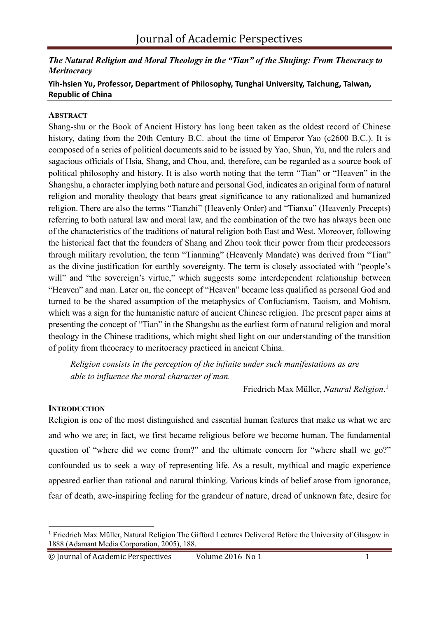# *The Natural Religion and Moral Theology in the "Tian" of the Shujing: From Theocracy to Meritocracy*

# **Yih-hsien Yu, Professor, Department of Philosophy, Tunghai University, Taichung, Taiwan, Republic of China**

## **ABSTRACT**

Shang-shu or the Book of Ancient History has long been taken as the oldest record of Chinese history, dating from the 20th Century B.C. about the time of Emperor Yao (c2600 B.C.). It is composed of a series of political documents said to be issued by Yao, Shun, Yu, and the rulers and sagacious officials of Hsia, Shang, and Chou, and, therefore, can be regarded as a source book of political philosophy and history. It is also worth noting that the term "Tian" or "Heaven" in the Shangshu, a character implying both nature and personal God, indicates an original form of natural religion and morality theology that bears great significance to any rationalized and humanized religion. There are also the terms "Tianzhi" (Heavenly Order) and "Tianxu" (Heavenly Precepts) referring to both natural law and moral law, and the combination of the two has always been one of the characteristics of the traditions of natural religion both East and West. Moreover, following the historical fact that the founders of Shang and Zhou took their power from their predecessors through military revolution, the term "Tianming" (Heavenly Mandate) was derived from "Tian" as the divine justification for earthly sovereignty. The term is closely associated with "people's will" and "the sovereign's virtue," which suggests some interdependent relationship between "Heaven" and man. Later on, the concept of "Heaven" became less qualified as personal God and turned to be the shared assumption of the metaphysics of Confucianism, Taoism, and Mohism, which was a sign for the humanistic nature of ancient Chinese religion. The present paper aims at presenting the concept of "Tian" in the Shangshu as the earliest form of natural religion and moral theology in the Chinese traditions, which might shed light on our understanding of the transition of polity from theocracy to meritocracy practiced in ancient China.

*Religion consists in the perception of the infinite under such manifestations as are able to influence the moral character of man.*

Friedrich Max Müller, *Natural Religion*. 1

# **INTRODUCTION**

Religion is one of the most distinguished and essential human features that make us what we are and who we are; in fact, we first became religious before we become human. The fundamental question of "where did we come from?" and the ultimate concern for "where shall we go?" confounded us to seek a way of representing life. As a result, mythical and magic experience appeared earlier than rational and natural thinking. Various kinds of belief arose from ignorance, fear of death, awe-inspiring feeling for the grandeur of nature, dread of unknown fate, desire for

<sup>1</sup> Friedrich Max Müller, Natural Religion The Gifford Lectures Delivered Before the University of Glasgow in 1888 (Adamant Media Corporation, 2005), 188.

<sup>©</sup> Journal of Academic Perspectives Volume 2016 No 1 1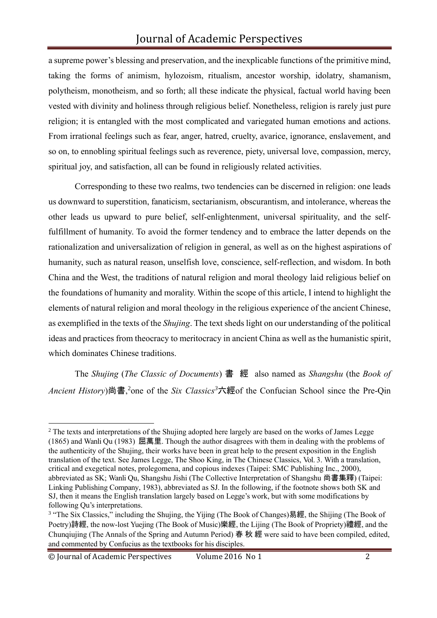a supreme power's blessing and preservation, and the inexplicable functions of the primitive mind, taking the forms of animism, hylozoism, ritualism, ancestor worship, idolatry, shamanism, polytheism, monotheism, and so forth; all these indicate the physical, factual world having been vested with divinity and holiness through religious belief. Nonetheless, religion is rarely just pure religion; it is entangled with the most complicated and variegated human emotions and actions. From irrational feelings such as fear, anger, hatred, cruelty, avarice, ignorance, enslavement, and so on, to ennobling spiritual feelings such as reverence, piety, universal love, compassion, mercy, spiritual joy, and satisfaction, all can be found in religiously related activities.

Corresponding to these two realms, two tendencies can be discerned in religion: one leads us downward to superstition, fanaticism, sectarianism, obscurantism, and intolerance, whereas the other leads us upward to pure belief, self-enlightenment, universal spirituality, and the selffulfillment of humanity. To avoid the former tendency and to embrace the latter depends on the rationalization and universalization of religion in general, as well as on the highest aspirations of humanity, such as natural reason, unselfish love, conscience, self-reflection, and wisdom. In both China and the West, the traditions of natural religion and moral theology laid religious belief on the foundations of humanity and morality. Within the scope of this article, I intend to highlight the elements of natural religion and moral theology in the religious experience of the ancient Chinese, as exemplified in the texts of the *Shujing*. The text sheds light on our understanding of the political ideas and practices from theocracy to meritocracy in ancient China as well as the humanistic spirit, which dominates Chinese traditions.

The *Shujing* (*The Classic of Documents*) 書 經 also named as *Shangshu* (the *Book of*  Ancient History)尚書,<sup>2</sup>one of the *Six Classics*<sup>3</sup>六經of the Confucian School since the Pre-Qin

<sup>&</sup>lt;sup>2</sup> The texts and interpretations of the Shujing adopted here largely are based on the works of James Legge (1865) and Wanli Qu (1983) 屈萬里. Though the author disagrees with them in dealing with the problems of the authenticity of the Shujing, their works have been in great help to the present exposition in the English translation of the text. See James Legge, The Shoo King, in The Chinese Classics, Vol. 3. With a translation, critical and exegetical notes, prolegomena, and copious indexes (Taipei: SMC Publishing Inc., 2000), abbreviated as SK; Wanli Qu, Shangshu Jishi (The Collective Interpretation of Shangshu 尚書集釋) (Taipei: Linking Publishing Company, 1983), abbreviated as SJ. In the following, if the footnote shows both SK and SJ, then it means the English translation largely based on Legge's work, but with some modifications by following Qu's interpretations.

<sup>&</sup>lt;sup>3</sup> "The Six Classics," including the Shujing, the Yijing (The Book of Changes)易經, the Shijing (The Book of Poetry)詩經, the now-lost Yuejing (The Book of Music)樂經, the Lijing (The Book of Propriety)禮經, and the Chunqiujing (The Annals of the Spring and Autumn Period) 春 秋 經 were said to have been compiled, edited, and commented by Confucius as the textbooks for his disciples.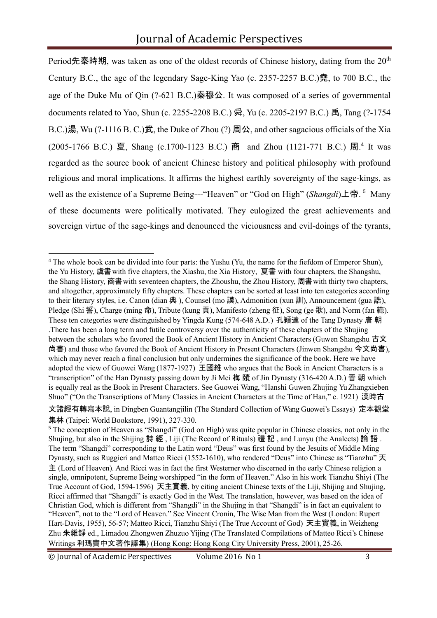Period先秦時期, was taken as one of the oldest records of Chinese history, dating from the 20<sup>th</sup> Century B.C., the age of the legendary Sage-King Yao (c. 2357-2257 B.C.)堯, to 700 B.C., the age of the Duke Mu of Qin (?-621 B.C.)秦穆公. It was composed of a series of governmental documents related to Yao, Shun (c. 2255-2208 B.C.) 舜, Yu (c. 2205-2197 B.C.) 禹, Tang (?-1754 B.C.)湯, Wu (?-1116 B. C.)武, the Duke of Zhou (?) 周公, and other sagacious officials of the Xia (2005-1766 B.C.) 夏, Shang (c.1700-1123 B.C.) 商 and Zhou (1121-771 B.C.) 周.<sup>4</sup> It was regarded as the source book of ancient Chinese history and political philosophy with profound religious and moral implications. It affirms the highest earthly sovereignty of the sage-kings, as well as the existence of a Supreme Being---"Heaven" or "God on High" (*Shangdi*)上帝. <sup>5</sup> Many of these documents were politically motivated. They eulogized the great achievements and sovereign virtue of the sage-kings and denounced the viciousness and evil-doings of the tyrants,

<sup>4</sup> The whole book can be divided into four parts: the Yushu (Yu, the name for the fiefdom of Emperor Shun), the Yu History, 虞書with five chapters, the Xiashu, the Xia History, 夏書 with four chapters, the Shangshu, the Shang History, 商書 with seventeen chapters, the Zhoushu, the Zhou History, 周書 with thirty two chapters, and altogether, approximately fifty chapters. These chapters can be sorted at least into ten categories according to their literary styles, i.e. Canon (dian 典), Counsel (mo 謨), Admonition (xun 訓), Announcement (gua 誥), Pledge (Shi 誓), Charge (ming 命), Tribute (kung 貢), Manifesto (zheng 征), Song (ge 歌), and Norm (fan 範). These ten categories were distinguished by Yingda Kung (574-648 A.D.) 孔穎達 of the Tang Dynasty 唐 朝 .There has been a long term and futile controversy over the authenticity of these chapters of the Shujing between the scholars who favored the Book of Ancient History in Ancient Characters (Guwen Shangshu 古文 尚書) and those who favored the Book of Ancient History in Present Characters (Jinwen Shangshu 今文尚書), which may never reach a final conclusion but only undermines the significance of the book. Here we have adopted the view of Guowei Wang (1877-1927) 王國維 who argues that the Book in Ancient Characters is a "transcription" of the Han Dynasty passing down by Ji Mei 梅 賾 of Jin Dynasty (316-420 A.D.) 晉 朝 which is equally real as the Book in Present Characters. See Guowei Wang, "Hanshi Guwen Zhujing Yu Zhangxieben Shuo" ("On the Transcriptions of Many Classics in Ancient Characters at the Time of Han," c. 1921) 漢時古

文諸經有轉寫本說, in Dingben Guantangjilin (The Standard Collection of Wang Guowei's Essays) 定本觀堂 集林 (Taipei: World Bookstore, 1991), 327-330.

© Journal of Academic Perspectives Volume 2016 No 1 3

<sup>&</sup>lt;sup>5</sup> The conception of Heaven as "Shangdi" (God on High) was quite popular in Chinese classics, not only in the Shujing, but also in the Shijing 詩 經 , Liji (The Record of Rituals) 禮 記 , and Lunyu (the Analects) 論 語 . The term "Shangdi" corresponding to the Latin word "Deus" was first found by the Jesuits of Middle Ming Dynasty, such as Ruggieri and Matteo Ricci (1552-1610), who rendered "Deus" into Chinese as "Tianzhu" 天 主 (Lord of Heaven). And Ricci was in fact the first Westerner who discerned in the early Chinese religion a single, omnipotent, Supreme Being worshipped "in the form of Heaven." Also in his work Tianzhu Shiyi (The True Account of God, 1594-1596) 天主實義, by citing ancient Chinese texts of the Liji, Shijing and Shujing, Ricci affirmed that "Shangdi" is exactly God in the West. The translation, however, was based on the idea of Christian God, which is different from "Shangdi" in the Shujing in that "Shangdi" is in fact an equivalent to "Heaven", not to the "Lord of Heaven." See Vincent Cronin, The Wise Man from the West (London: Rupert Hart-Davis, 1955), 56-57; Matteo Ricci, Tianzhu Shiyi (The True Account of God) 天主實義, in Weizheng Zhu 朱維錚 ed., Limadou Zhongwen Zhuzuo Yijing (The Translated Compilations of Matteo Ricci's Chinese Writings 利瑪竇中文著作譯集) (Hong Kong: Hong Kong City University Press, 2001), 25-26.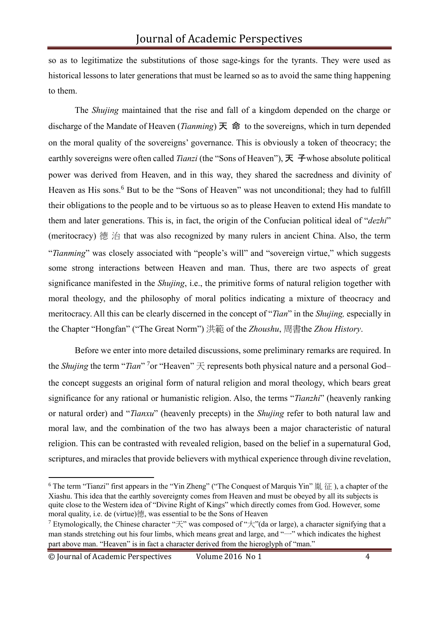so as to legitimatize the substitutions of those sage-kings for the tyrants. They were used as historical lessons to later generations that must be learned so as to avoid the same thing happening to them.

The *Shujing* maintained that the rise and fall of a kingdom depended on the charge or discharge of the Mandate of Heaven (*Tianming*) 天 命 to the sovereigns, which in turn depended on the moral quality of the sovereigns' governance. This is obviously a token of theocracy; the earthly sovereigns were often called *Tianzi* (the "Sons of Heaven"), 天 子whose absolute political power was derived from Heaven, and in this way, they shared the sacredness and divinity of Heaven as His sons.<sup>6</sup> But to be the "Sons of Heaven" was not unconditional; they had to fulfill their obligations to the people and to be virtuous so as to please Heaven to extend His mandate to them and later generations. This is, in fact, the origin of the Confucian political ideal of "*dezhi*" (meritocracy) 德 治 that was also recognized by many rulers in ancient China. Also, the term "*Tianming*" was closely associated with "people's will" and "sovereign virtue," which suggests some strong interactions between Heaven and man. Thus, there are two aspects of great significance manifested in the *Shujing*, i.e., the primitive forms of natural religion together with moral theology, and the philosophy of moral politics indicating a mixture of theocracy and meritocracy. All this can be clearly discerned in the concept of "*Tian*" in the *Shujing,* especially in the Chapter "Hongfan" ("The Great Norm") 洪範 of the *Zhoushu*, 周書the *Zhou History*.

Before we enter into more detailed discussions, some preliminary remarks are required. In the *Shujing* the term "*Tian*" <sup>7</sup> or "Heaven" 天 represents both physical nature and a personal God– the concept suggests an original form of natural religion and moral theology, which bears great significance for any rational or humanistic religion. Also, the terms "*Tianzhi*" (heavenly ranking or natural order) and "*Tianxu*" (heavenly precepts) in the *Shujing* refer to both natural law and moral law, and the combination of the two has always been a major characteristic of natural religion. This can be contrasted with revealed religion, based on the belief in a supernatural God, scriptures, and miracles that provide believers with mythical experience through divine revelation,

<sup>&</sup>lt;sup>6</sup> The term "Tianzi" first appears in the "Yin Zheng" ("The Conquest of Marquis Yin"  $\frac{1}{2}$   $\frac{1}{2}$  ), a chapter of the Xiashu. This idea that the earthly sovereignty comes from Heaven and must be obeyed by all its subjects is quite close to the Western idea of "Divine Right of Kings" which directly comes from God. However, some moral quality, i.e. de (virtue)德, was essential to be the Sons of Heaven

<sup>&</sup>lt;sup>7</sup> Etymologically, the Chinese character " $\pm$ " was composed of " $\pm$ "(da or large), a character signifying that a man stands stretching out his four limbs, which means great and large, and "—" which indicates the highest part above man. "Heaven" is in fact a character derived from the hieroglyph of "man."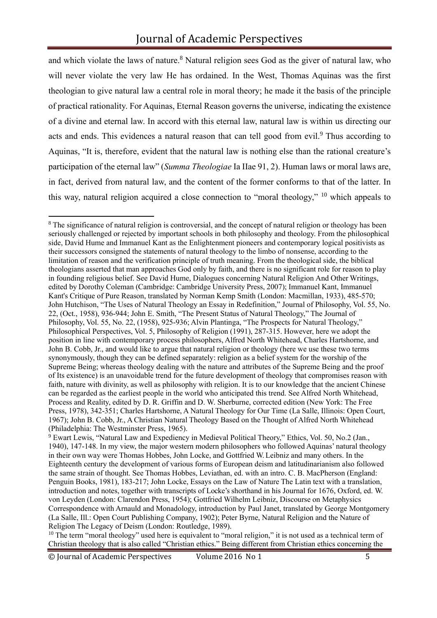and which violate the laws of nature.<sup>8</sup> Natural religion sees God as the giver of natural law, who will never violate the very law He has ordained. In the West, Thomas Aquinas was the first theologian to give natural law a central role in moral theory; he made it the basis of the principle of practical rationality. For Aquinas, Eternal Reason governs the universe, indicating the existence of a divine and eternal law. In accord with this eternal law, natural law is within us directing our acts and ends. This evidences a natural reason that can tell good from evil.<sup>9</sup> Thus according to Aquinas, "It is, therefore, evident that the natural law is nothing else than the rational creature's participation of the eternal law" (*Summa Theologiae* Ia IIae 91, 2). Human laws or moral laws are, in fact, derived from natural law, and the content of the former conforms to that of the latter. In this way, natural religion acquired a close connection to "moral theology," <sup>10</sup> which appeals to

<sup>10</sup> The term "moral theology" used here is equivalent to "moral religion," it is not used as a technical term of Christian theology that is also called "Christian ethics." Being different from Christian ethics concerning the

<sup>&</sup>lt;sup>8</sup> The significance of natural religion is controversial, and the concept of natural religion or theology has been seriously challenged or rejected by important schools in both philosophy and theology. From the philosophical side, David Hume and Immanuel Kant as the Enlightenment pioneers and contemporary logical positivists as their successors consigned the statements of natural theology to the limbo of nonsense, according to the limitation of reason and the verification principle of truth meaning. From the theological side, the biblical theologians asserted that man approaches God only by faith, and there is no significant role for reason to play in founding religious belief. See David Hume, Dialogues concerning Natural Religion And Other Writings, edited by Dorothy Coleman (Cambridge: Cambridge University Press, 2007); Immanuel Kant, Immanuel Kant's Critique of Pure Reason, translated by Norman Kemp Smith (London: Macmillan, 1933), 485-570; John Hutchison, "The Uses of Natural Theology an Essay in Redefinition," Journal of Philosophy, Vol. 55, No. 22, (Oct., 1958), 936-944; John E. Smith, "The Present Status of Natural Theology," The Journal of Philosophy, Vol. 55, No. 22, (1958), 925-936; Alvin Plantinga, "The Prospects for Natural Theology," Philosophical Perspectives, Vol. 5, Philosophy of Religion (1991), 287-315. However, here we adopt the position in line with contemporary process philosophers, Alfred North Whitehead, Charles Hartshorne, and John B. Cobb, Jr., and would like to argue that natural religion or theology (here we use these two terms synonymously, though they can be defined separately: religion as a belief system for the worship of the Supreme Being; whereas theology dealing with the nature and attributes of the Supreme Being and the proof of Its existence) is an unavoidable trend for the future development of theology that compromises reason with faith, nature with divinity, as well as philosophy with religion. It is to our knowledge that the ancient Chinese can be regarded as the earliest people in the world who anticipated this trend. See Alfred North Whitehead, Process and Reality, edited by D. R. Griffin and D. W. Sherburne, corrected edition (New York: The Free Press, 1978), 342-351; Charles Hartshorne, A Natural Theology for Our Time (La Salle, Illinois: Open Court, 1967); John B. Cobb, Jr., A Christian Natural Theology Based on the Thought of Alfred North Whitehead (Philadelphia: The Westminster Press, 1965).

<sup>&</sup>lt;sup>9</sup> Ewart Lewis, "Natural Law and Expediency in Medieval Political Theory," Ethics, Vol. 50, No.2 (Jan., 1940), 147-148. In my view, the major western modern philosophers who followed Aquinas' natural theology in their own way were Thomas Hobbes, John Locke, and Gottfried W. Leibniz and many others. In the Eighteenth century the development of various forms of European deism and latitudinarianism also followed the same strain of thought. See Thomas Hobbes, Leviathan, ed. with an intro. C. B. MacPherson (England: Penguin Books, 1981), 183-217; John Locke, Essays on the Law of Nature The Latin text with a translation, introduction and notes, together with transcripts of Locke's shorthand in his Journal for 1676, Oxford, ed. W. von Leyden (London: Clarendon Press, 1954); Gottfried Wilhelm Leibniz, Discourse on Metaphysics Correspondence with Arnauld and Monadology, introduction by Paul Janet, translated by George Montgomery (La Salle, Ill.: Open Court Publishing Company, 1902); Peter Byrne, Natural Religion and the Nature of Religion The Legacy of Deism (London: Routledge, 1989).

<sup>©</sup> Journal of Academic Perspectives Volume 2016 No 1 5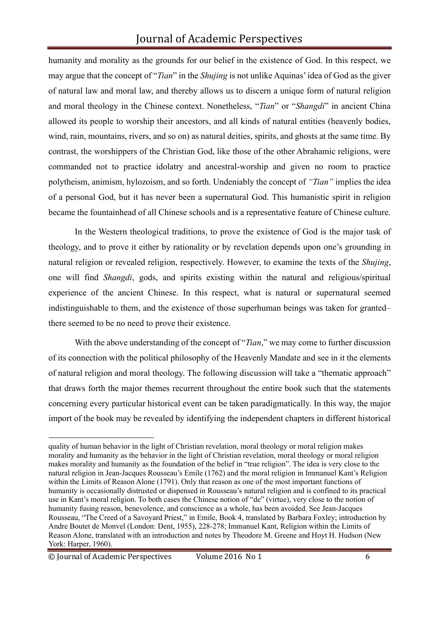humanity and morality as the grounds for our belief in the existence of God. In this respect, we may argue that the concept of "*Tian*" in the *Shujing* is not unlike Aquinas' idea of God as the giver of natural law and moral law, and thereby allows us to discern a unique form of natural religion and moral theology in the Chinese context. Nonetheless, "*Tian*" or "*Shangdi*" in ancient China allowed its people to worship their ancestors, and all kinds of natural entities (heavenly bodies, wind, rain, mountains, rivers, and so on) as natural deities, spirits, and ghosts at the same time. By contrast, the worshippers of the Christian God, like those of the other Abrahamic religions, were commanded not to practice idolatry and ancestral-worship and given no room to practice polytheism, animism, hylozoism, and so forth. Undeniably the concept of *"Tian"* implies the idea of a personal God, but it has never been a supernatural God. This humanistic spirit in religion became the fountainhead of all Chinese schools and is a representative feature of Chinese culture.

In the Western theological traditions, to prove the existence of God is the major task of theology, and to prove it either by rationality or by revelation depends upon one's grounding in natural religion or revealed religion, respectively. However, to examine the texts of the *Shujing*, one will find *Shangdi*, gods, and spirits existing within the natural and religious/spiritual experience of the ancient Chinese. In this respect, what is natural or supernatural seemed indistinguishable to them, and the existence of those superhuman beings was taken for granted– there seemed to be no need to prove their existence.

With the above understanding of the concept of "*Tian*," we may come to further discussion of its connection with the political philosophy of the Heavenly Mandate and see in it the elements of natural religion and moral theology. The following discussion will take a "thematic approach" that draws forth the major themes recurrent throughout the entire book such that the statements concerning every particular historical event can be taken paradigmatically. In this way, the major import of the book may be revealed by identifying the independent chapters in different historical

quality of human behavior in the light of Christian revelation, moral theology or moral religion makes morality and humanity as the behavior in the light of Christian revelation, moral theology or moral religion makes morality and humanity as the foundation of the belief in "true religion". The idea is very close to the natural religion in Jean-Jacques Rousseau's Emile (1762) and the moral religion in Immanuel Kant's Religion within the Limits of Reason Alone (1791). Only that reason as one of the most important functions of humanity is occasionally distrusted or dispensed in Rousseau's natural religion and is confined to its practical use in Kant's moral religion. To both cases the Chinese notion of "de" (virtue), very close to the notion of humanity fusing reason, benevolence, and conscience as a whole, has been avoided. See Jean-Jacques Rousseau, "The Creed of a Savoyard Priest," in Emile, Book 4, translated by Barbara Foxley; introduction by Andre Boutet de Monvel (London: Dent, 1955), 228-278; Immanuel Kant, Religion within the Limits of Reason Alone, translated with an introduction and notes by Theodore M. Greene and Hoyt H. Hudson (New York: Harper, 1960).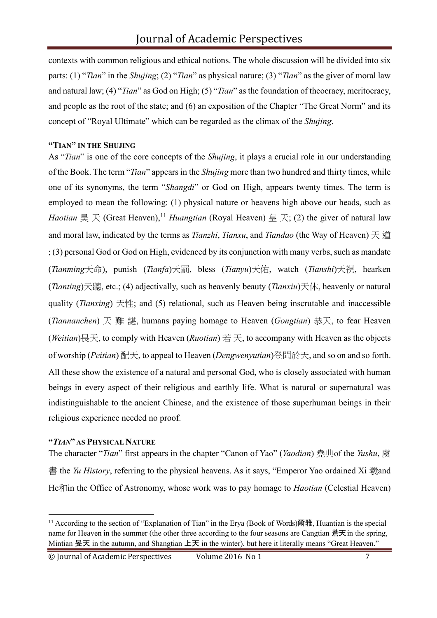contexts with common religious and ethical notions. The whole discussion will be divided into six parts: (1) "*Tian*" in the *Shujing*; (2) "*Tian*" as physical nature; (3) "*Tian*" as the giver of moral law and natural law; (4) "*Tian*" as God on High; (5) "*Tian*" as the foundation of theocracy, meritocracy, and people as the root of the state; and (6) an exposition of the Chapter "The Great Norm" and its concept of "Royal Ultimate" which can be regarded as the climax of the *Shujing*.

#### **"TIAN" IN THE SHUJING**

As "*Tian*" is one of the core concepts of the *Shujing*, it plays a crucial role in our understanding of the Book. The term "*Tian*" appears in the *Shujing* more than two hundred and thirty times, while one of its synonyms, the term "*Shangdi*" or God on High, appears twenty times. The term is employed to mean the following: (1) physical nature or heavens high above our heads, such as *Haotian* 昊 天 (Great Heaven),<sup>11</sup> *Huangtian* (Royal Heaven) 皇 天; (2) the giver of natural law and moral law, indicated by the terms as *Tianzhi*, *Tianxu*, and *Tiandao* (the Way of Heaven) 天 道 ; (3) personal God or God on High, evidenced by its conjunction with many verbs, such as mandate (*Tianming*天命), punish (*Tianfa*)天罰, bless (*Tianyu*)天佑, watch (*Tianshi*)天視, hearken (*Tianting*)天聽, etc.; (4) adjectivally, such as heavenly beauty (*Tianxiu*)天休, heavenly or natural quality (*Tianxing*) 天性; and (5) relational, such as Heaven being inscrutable and inaccessible (*Tiannanchen*) 天 難 諶, humans paying homage to Heaven (*Gongtian*) 恭天, to fear Heaven (*Weitian*)畏天, to comply with Heaven (*Ruotian*) 若 天, to accompany with Heaven as the objects of worship (*Peitian*) 配天, to appeal to Heaven (*Dengwenyutian*)登聞於天, and so on and so forth. All these show the existence of a natural and personal God, who is closely associated with human beings in every aspect of their religious and earthly life. What is natural or supernatural was indistinguishable to the ancient Chinese, and the existence of those superhuman beings in their religious experience needed no proof.

#### **"***TIAN***" AS PHYSICAL NATURE**

The character "*Tian*" first appears in the chapter "Canon of Yao" (*Yaodian*) 堯典of the *Yushu*, 虞 書 the *Yu History*, referring to the physical heavens. As it says, "Emperor Yao ordained Xi 羲and He filin the Office of Astronomy, whose work was to pay homage to *Haotian* (Celestial Heaven)

<sup>&</sup>lt;sup>11</sup> According to the section of "Explanation of Tian" in the Erya (Book of Words)爾雅, Huantian is the special name for Heaven in the summer (the other three according to the four seasons are Cangtian 蒼天 in the spring, Mintian 旻天 in the autumn, and Shangtian 上天 in the winter), but here it literally means "Great Heaven."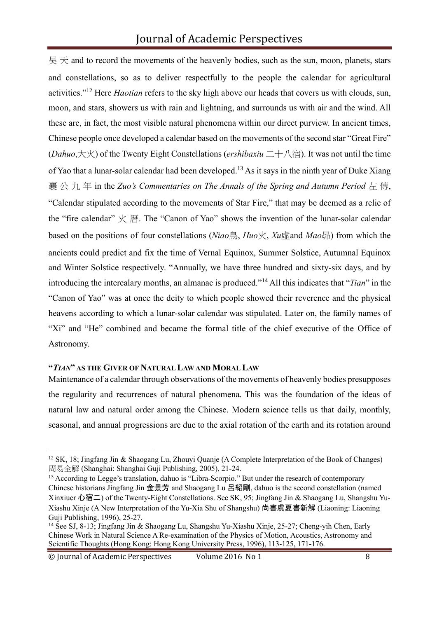$\downarrow \equiv \pm \pm$  and to record the movements of the heavenly bodies, such as the sun, moon, planets, stars and constellations, so as to deliver respectfully to the people the calendar for agricultural activities."<sup>12</sup> Here *Haotian* refers to the sky high above our heads that covers us with clouds, sun, moon, and stars, showers us with rain and lightning, and surrounds us with air and the wind. All these are, in fact, the most visible natural phenomena within our direct purview. In ancient times, Chinese people once developed a calendar based on the movements of the second star "Great Fire" (*Dahuo*,大火) of the Twenty Eight Constellations (*ershibaxiu* 二十八宿). It was not until the time of Yao that a lunar-solar calendar had been developed.<sup>13</sup> As it says in the ninth year of Duke Xiang 襄 公 九 年 in the *Zuo's Commentaries on The Annals of the Spring and Autumn Period* 左 傳, "Calendar stipulated according to the movements of Star Fire," that may be deemed as a relic of the "fire calendar" 火 曆. The "Canon of Yao" shows the invention of the lunar-solar calendar based on the positions of four constellations (*Niao*鳥, *Huo*火, *Xu*虛and *Mao*昴) from which the ancients could predict and fix the time of Vernal Equinox, Summer Solstice, Autumnal Equinox and Winter Solstice respectively. "Annually, we have three hundred and sixty-six days, and by introducing the intercalary months, an almanac is produced."<sup>14</sup> All this indicates that "*Tian*" in the "Canon of Yao" was at once the deity to which people showed their reverence and the physical heavens according to which a lunar-solar calendar was stipulated. Later on, the family names of "Xi" and "He" combined and became the formal title of the chief executive of the Office of Astronomy.

# **"***TIAN***" AS THE GIVER OF NATURAL LAW AND MORAL LAW**

Maintenance of a calendar through observations of the movements of heavenly bodies presupposes the regularity and recurrences of natural phenomena. This was the foundation of the ideas of natural law and natural order among the Chinese. Modern science tells us that daily, monthly, seasonal, and annual progressions are due to the axial rotation of the earth and its rotation around

<sup>&</sup>lt;sup>12</sup> SK, 18; Jingfang Jin & Shaogang Lu, Zhouyi Quanje (A Complete Interpretation of the Book of Changes) 周易全解 (Shanghai: Shanghai Guji Publishing, 2005), 21-24.

<sup>&</sup>lt;sup>13</sup> According to Legge's translation, dahuo is "Libra-Scorpio." But under the research of contemporary Chinese historians Jingfang Jin 金景芳 and Shaogang Lu 呂紹剛, dahuo is the second constellation (named Xinxiuer 心宿二) of the Twenty-Eight Constellations. See SK, 95; Jingfang Jin & Shaogang Lu, Shangshu Yu-Xiashu Xinje (A New Interpretation of the Yu-Xia Shu of Shangshu) 尚書虞夏書新解 (Liaoning: Liaoning Guji Publishing, 1996), 25-27.

<sup>14</sup> See SJ, 8-13; Jingfang Jin & Shaogang Lu, Shangshu Yu-Xiashu Xinje, 25-27; Cheng-yih Chen, Early Chinese Work in Natural Science A Re-examination of the Physics of Motion, Acoustics, Astronomy and Scientific Thoughts (Hong Kong: Hong Kong University Press, 1996), 113-125, 171-176.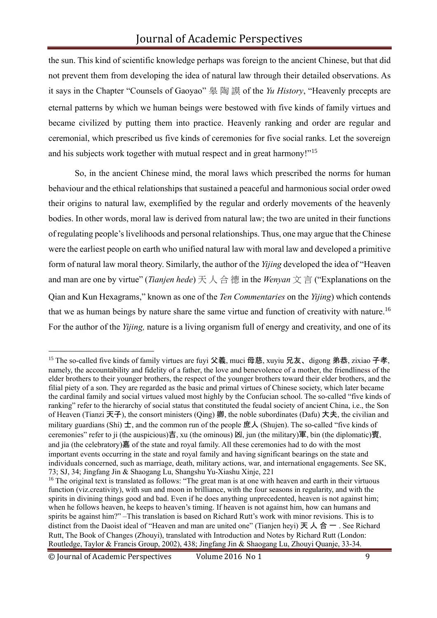the sun. This kind of scientific knowledge perhaps was foreign to the ancient Chinese, but that did not prevent them from developing the idea of natural law through their detailed observations. As it says in the Chapter "Counsels of Gaoyao" 皋 陶 謨 of the *Yu History*, "Heavenly precepts are eternal patterns by which we human beings were bestowed with five kinds of family virtues and became civilized by putting them into practice. Heavenly ranking and order are regular and ceremonial, which prescribed us five kinds of ceremonies for five social ranks. Let the sovereign and his subjects work together with mutual respect and in great harmony!"<sup>15</sup>

So, in the ancient Chinese mind, the moral laws which prescribed the norms for human behaviour and the ethical relationships that sustained a peaceful and harmonious social order owed their origins to natural law, exemplified by the regular and orderly movements of the heavenly bodies. In other words, moral law is derived from natural law; the two are united in their functions of regulating people's livelihoods and personal relationships. Thus, one may argue that the Chinese were the earliest people on earth who unified natural law with moral law and developed a primitive form of natural law moral theory. Similarly, the author of the *Yijing* developed the idea of "Heaven and man are one by virtue" (*Tianjen hede*) 天 人 合 德 in the *Wenyan* 文 言 ("Explanations on the Qian and Kun Hexagrams," known as one of the *Ten Commentaries* on the *Yijing*) which contends that we as human beings by nature share the same virtue and function of creativity with nature.<sup>16</sup> For the author of the *Yijing,* nature is a living organism full of energy and creativity, and one of its

<sup>&</sup>lt;sup>15</sup> The so-called five kinds of family virtues are fuyi 父義, muci 母慈, xuyiu 兄友、digong 弟恭, zixiao 子孝, namely, the accountability and fidelity of a father, the love and benevolence of a mother, the friendliness of the elder brothers to their younger brothers, the respect of the younger brothers toward their elder brothers, and the filial piety of a son. They are regarded as the basic and primal virtues of Chinese society, which later became the cardinal family and social virtues valued most highly by the Confucian school. The so-called "five kinds of ranking" refer to the hierarchy of social status that constituted the feudal society of ancient China, i.e., the Son of Heaven (Tianzi 天子), the consort ministers (Oing) 卿, the noble subordinates (Dafu) 大夫, the civilian and military guardians (Shi)  $\pm$ , and the common run of the people 庶人 (Shujen). The so-called "five kinds of ceremonies" refer to ji (the auspicious)吉, xu (the ominous) 凶, jun (the military)軍, bin (the diplomatic)賓, and jia (the celebratory)嘉 of the state and royal family. All these ceremonies had to do with the most important events occurring in the state and royal family and having significant bearings on the state and individuals concerned, such as marriage, death, military actions, war, and international engagements. See SK, 73; SJ, 34; Jingfang Jin & Shaogang Lu, Shangshu Yu-Xiashu Xinje, 221

<sup>&</sup>lt;sup>16</sup> The original text is translated as follows: "The great man is at one with heaven and earth in their virtuous function (viz.creativity), with sun and moon in brilliance, with the four seasons in regularity, and with the spirits in divining things good and bad. Even if he does anything unprecedented, heaven is not against him; when he follows heaven, he keeps to heaven's timing. If heaven is not against him, how can humans and spirits be against him?" –This translation is based on Richard Rutt's work with minor revisions. This is to distinct from the Daoist ideal of "Heaven and man are united one" (Tianjen heyi) 天 人 合 一 . See Richard Rutt, The Book of Changes (Zhouyi), translated with Introduction and Notes by Richard Rutt (London: Routledge, Taylor & Francis Group, 2002), 438; Jingfang Jin & Shaogang Lu, Zhouyi Quanje, 33-34.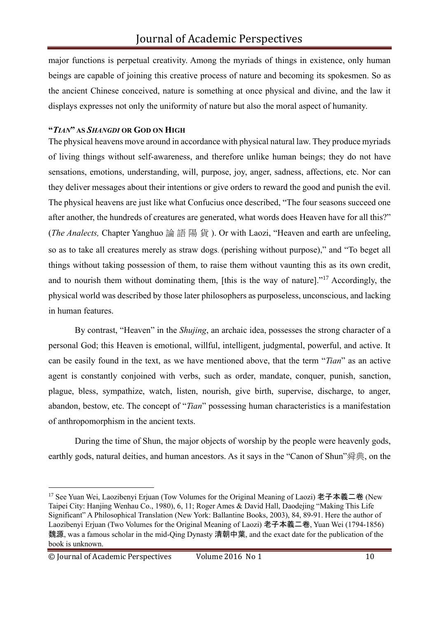major functions is perpetual creativity. Among the myriads of things in existence, only human beings are capable of joining this creative process of nature and becoming its spokesmen. So as the ancient Chinese conceived, nature is something at once physical and divine, and the law it displays expresses not only the uniformity of nature but also the moral aspect of humanity.

#### **"***TIAN***" AS** *SHANGDI* **OR GOD ON HIGH**

The physical heavens move around in accordance with physical natural law. They produce myriads of living things without self-awareness, and therefore unlike human beings; they do not have sensations, emotions, understanding, will, purpose, joy, anger, sadness, affections, etc. Nor can they deliver messages about their intentions or give orders to reward the good and punish the evil. The physical heavens are just like what Confucius once described, "The four seasons succeed one after another, the hundreds of creatures are generated, what words does Heaven have for all this?" (*The Analects,* Chapter Yanghuo 論 語 陽 貨 ). Or with Laozi, "Heaven and earth are unfeeling, so as to take all creatures merely as straw dogs. (perishing without purpose)," and "To beget all things without taking possession of them, to raise them without vaunting this as its own credit, and to nourish them without dominating them, [this is the way of nature]."<sup>17</sup> Accordingly, the physical world was described by those later philosophers as purposeless, unconscious, and lacking in human features.

By contrast, "Heaven" in the *Shujing*, an archaic idea, possesses the strong character of a personal God; this Heaven is emotional, willful, intelligent, judgmental, powerful, and active. It can be easily found in the text, as we have mentioned above, that the term "*Tian*" as an active agent is constantly conjoined with verbs, such as order, mandate, conquer, punish, sanction, plague, bless, sympathize, watch, listen, nourish, give birth, supervise, discharge, to anger, abandon, bestow, etc. The concept of "*Tian*" possessing human characteristics is a manifestation of anthropomorphism in the ancient texts.

During the time of Shun, the major objects of worship by the people were heavenly gods, earthly gods, natural deities, and human ancestors. As it says in the "Canon of Shun"舜典, on the

<sup>&</sup>lt;sup>17</sup> See Yuan Wei, Laozibenyi Erjuan (Tow Volumes for the Original Meaning of Laozi) 老子本義二卷 (New Taipei City: Hanjing Wenhau Co., 1980), 6, 11; Roger Ames & David Hall, Daodejing "Making This Life Significant" A Philosophical Translation (New York: Ballantine Books, 2003), 84, 89-91. Here the author of Laozibenyi Erjuan (Two Volumes for the Original Meaning of Laozi) 老子本義二卷, Yuan Wei (1794-1856) 魏源, was a famous scholar in the mid-Qing Dynasty 清朝中葉, and the exact date for the publication of the book is unknown.

<sup>©</sup> Journal of Academic Perspectives Volume 2016 No 1 10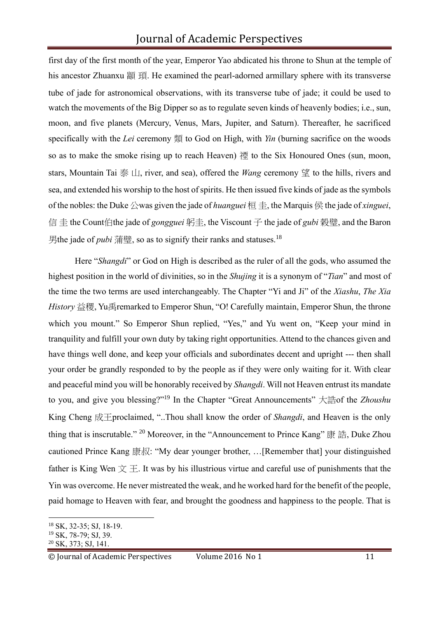first day of the first month of the year, Emperor Yao abdicated his throne to Shun at the temple of his ancestor Zhuanxu 顓 頊. He examined the pearl-adorned armillary sphere with its transverse tube of jade for astronomical observations, with its transverse tube of jade; it could be used to watch the movements of the Big Dipper so as to regulate seven kinds of heavenly bodies; i.e., sun, moon, and five planets (Mercury, Venus, Mars, Jupiter, and Saturn). Thereafter, he sacrificed specifically with the *Lei* ceremony 類 to God on High, with *Yin* (burning sacrifice on the woods so as to make the smoke rising up to reach Heaven) 禋 to the Six Honoured Ones (sun, moon, stars, Mountain Tai 泰 山, river, and sea), offered the *Wang* ceremony 望 to the hills, rivers and sea, and extended his worship to the host of spirits. He then issued five kinds of jade as the symbols of the nobles: the Duke 公was given the jade of *huanguei* 桓 圭, the Marquis 侯 the jade of *xinguei*, 信 圭 the Count伯the jade of *gongguei* 躬圭, the Viscount 子 the jade of *gubi* 榖璧, and the Baron 男the jade of *pubi* 蒲璧, so as to signify their ranks and statuses.<sup>18</sup>

Here "*Shangdi*" or God on High is described as the ruler of all the gods, who assumed the highest position in the world of divinities, so in the *Shujing* it is a synonym of "*Tian*" and most of the time the two terms are used interchangeably. The Chapter "Yi and Ji" of the *Xiashu*, *The Xia History* 益稷, Yu禹remarked to Emperor Shun, "O! Carefully maintain, Emperor Shun, the throne which you mount." So Emperor Shun replied, "Yes," and Yu went on, "Keep your mind in tranquility and fulfill your own duty by taking right opportunities. Attend to the chances given and have things well done, and keep your officials and subordinates decent and upright --- then shall your order be grandly responded to by the people as if they were only waiting for it. With clear and peaceful mind you will be honorably received by *Shangdi*. Will not Heaven entrust its mandate to you, and give you blessing?"<sup>19</sup> In the Chapter "Great Announcements" 大誥of the *Zhoushu* King Cheng 成王proclaimed, "..Thou shall know the order of *Shangdi*, and Heaven is the only thing that is inscrutable." <sup>20</sup> Moreover, in the "Announcement to Prince Kang" 康 誥, Duke Zhou cautioned Prince Kang 康叔: "My dear younger brother, …[Remember that] your distinguished father is King Wen  $\chi \pm$ . It was by his illustrious virtue and careful use of punishments that the Yin was overcome. He never mistreated the weak, and he worked hard for the benefit of the people, paid homage to Heaven with fear, and brought the goodness and happiness to the people. That is

<sup>18</sup> SK, 32-35; SJ, 18-19.

<sup>19</sup> SK, 78-79; SJ, 39.

<sup>20</sup> SK, 373; SJ, 141.

<sup>©</sup> Journal of Academic Perspectives Volume 2016 No 1 11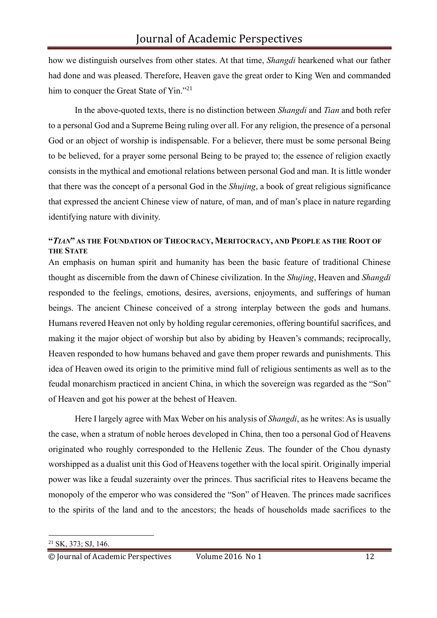how we distinguish ourselves from other states. At that time, *Shangdi* hearkened what our father had done and was pleased. Therefore, Heaven gave the great order to King Wen and commanded him to conquer the Great State of Yin."<sup>21</sup>

In the above-quoted texts, there is no distinction between *Shangdi* and *Tian* and both refer to a personal God and a Supreme Being ruling over all. For any religion, the presence of a personal God or an object of worship is indispensable. For a believer, there must be some personal Being to be believed, for a prayer some personal Being to be prayed to; the essence of religion exactly consists in the mythical and emotional relations between personal God and man. It is little wonder that there was the concept of a personal God in the *Shujing*, a book of great religious significance that expressed the ancient Chinese view of nature, of man, and of man's place in nature regarding identifying nature with divinity.

## **"***TIAN***" AS THE FOUNDATION OF THEOCRACY, MERITOCRACY, AND PEOPLE AS THE ROOT OF THE STATE**

An emphasis on human spirit and humanity has been the basic feature of traditional Chinese thought as discernible from the dawn of Chinese civilization. In the *Shujing*, Heaven and *Shangdi*  responded to the feelings, emotions, desires, aversions, enjoyments, and sufferings of human beings. The ancient Chinese conceived of a strong interplay between the gods and humans. Humans revered Heaven not only by holding regular ceremonies, offering bountiful sacrifices, and making it the major object of worship but also by abiding by Heaven's commands; reciprocally, Heaven responded to how humans behaved and gave them proper rewards and punishments. This idea of Heaven owed its origin to the primitive mind full of religious sentiments as well as to the feudal monarchism practiced in ancient China, in which the sovereign was regarded as the "Son" of Heaven and got his power at the behest of Heaven.

Here I largely agree with Max Weber on his analysis of *Shangdi*, as he writes: As is usually the case, when a stratum of noble heroes developed in China, then too a personal God of Heavens originated who roughly corresponded to the Hellenic Zeus. The founder of the Chou dynasty worshipped as a dualist unit this God of Heavens together with the local spirit. Originally imperial power was like a feudal suzerainty over the princes. Thus sacrificial rites to Heavens became the monopoly of the emperor who was considered the "Son" of Heaven. The princes made sacrifices to the spirits of the land and to the ancestors; the heads of households made sacrifices to the

<sup>21</sup> SK, 373; SJ, 146.

© Journal of Academic Perspectives Volume 2016 No 1 12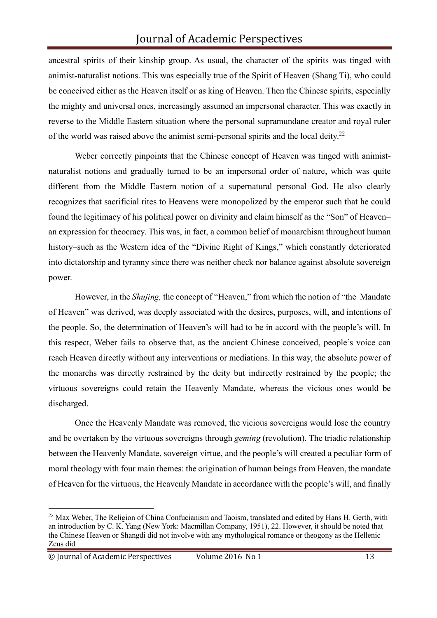ancestral spirits of their kinship group. As usual, the character of the spirits was tinged with animist-naturalist notions. This was especially true of the Spirit of Heaven (Shang Ti), who could be conceived either as the Heaven itself or as king of Heaven. Then the Chinese spirits, especially the mighty and universal ones, increasingly assumed an impersonal character. This was exactly in reverse to the Middle Eastern situation where the personal supramundane creator and royal ruler of the world was raised above the animist semi-personal spirits and the local deity.<sup>22</sup>

Weber correctly pinpoints that the Chinese concept of Heaven was tinged with animistnaturalist notions and gradually turned to be an impersonal order of nature, which was quite different from the Middle Eastern notion of a supernatural personal God. He also clearly recognizes that sacrificial rites to Heavens were monopolized by the emperor such that he could found the legitimacy of his political power on divinity and claim himself as the "Son" of Heaven– an expression for theocracy. This was, in fact, a common belief of monarchism throughout human history–such as the Western idea of the "Divine Right of Kings," which constantly deteriorated into dictatorship and tyranny since there was neither check nor balance against absolute sovereign power.

However, in the *Shujing,* the concept of "Heaven," from which the notion of "the Mandate of Heaven" was derived, was deeply associated with the desires, purposes, will, and intentions of the people. So, the determination of Heaven's will had to be in accord with the people's will. In this respect, Weber fails to observe that, as the ancient Chinese conceived, people's voice can reach Heaven directly without any interventions or mediations. In this way, the absolute power of the monarchs was directly restrained by the deity but indirectly restrained by the people; the virtuous sovereigns could retain the Heavenly Mandate, whereas the vicious ones would be discharged.

Once the Heavenly Mandate was removed, the vicious sovereigns would lose the country and be overtaken by the virtuous sovereigns through *geming* (revolution). The triadic relationship between the Heavenly Mandate, sovereign virtue, and the people's will created a peculiar form of moral theology with four main themes: the origination of human beings from Heaven, the mandate of Heaven for the virtuous, the Heavenly Mandate in accordance with the people's will, and finally

<sup>&</sup>lt;sup>22</sup> Max Weber, The Religion of China Confucianism and Taoism, translated and edited by Hans H. Gerth, with an introduction by C. K. Yang (New York: Macmillan Company, 1951), 22. However, it should be noted that the Chinese Heaven or Shangdi did not involve with any mythological romance or theogony as the Hellenic Zeus did

<sup>©</sup> Journal of Academic Perspectives Volume 2016 No 1 13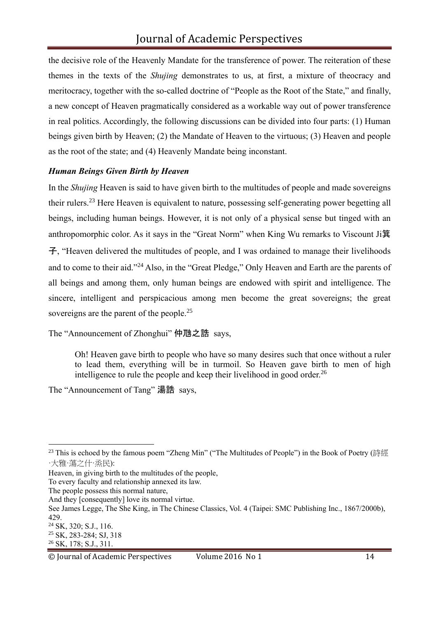the decisive role of the Heavenly Mandate for the transference of power. The reiteration of these themes in the texts of the *Shujing* demonstrates to us, at first, a mixture of theocracy and meritocracy, together with the so-called doctrine of "People as the Root of the State," and finally, a new concept of Heaven pragmatically considered as a workable way out of power transference in real politics. Accordingly, the following discussions can be divided into four parts: (1) Human beings given birth by Heaven; (2) the Mandate of Heaven to the virtuous; (3) Heaven and people as the root of the state; and (4) Heavenly Mandate being inconstant.

## *Human Beings Given Birth by Heaven*

In the *Shujing* Heaven is said to have given birth to the multitudes of people and made sovereigns their rulers.<sup>23</sup> Here Heaven is equivalent to nature, possessing self-generating power begetting all beings, including human beings. However, it is not only of a physical sense but tinged with an anthropomorphic color. As it says in the "Great Norm" when King Wu remarks to Viscount Ji箕 子, "Heaven delivered the multitudes of people, and I was ordained to manage their livelihoods and to come to their aid."<sup>24</sup> Also, in the "Great Pledge," Only Heaven and Earth are the parents of all beings and among them, only human beings are endowed with spirit and intelligence. The sincere, intelligent and perspicacious among men become the great sovereigns; the great sovereigns are the parent of the people.<sup>25</sup>

The "Announcement of Zhonghui" 仲虺之誥 says,

Oh! Heaven gave birth to people who have so many desires such that once without a ruler to lead them, everything will be in turmoil. So Heaven gave birth to men of high intelligence to rule the people and keep their livelihood in good order.<sup>26</sup>

The "Announcement of Tang" 湯誥 says,

<sup>&</sup>lt;sup>23</sup> This is echoed by the famous poem "Zheng Min" ("The Multitudes of People") in the Book of Poetry (詩經 ·大雅·蕩之什·烝民):

Heaven, in giving birth to the multitudes of the people,

To every faculty and relationship annexed its law.

The people possess this normal nature,

And they [consequently] love its normal virtue.

See James Legge, The She King, in The Chinese Classics, Vol. 4 (Taipei: SMC Publishing Inc., 1867/2000b), 429.

<sup>24</sup> SK, 320; S.J., 116. <sup>25</sup> SK, 283-284; SJ, 318

<sup>26</sup> SK, 178; S.J., 311.

<sup>©</sup> Journal of Academic Perspectives Volume 2016 No 1 14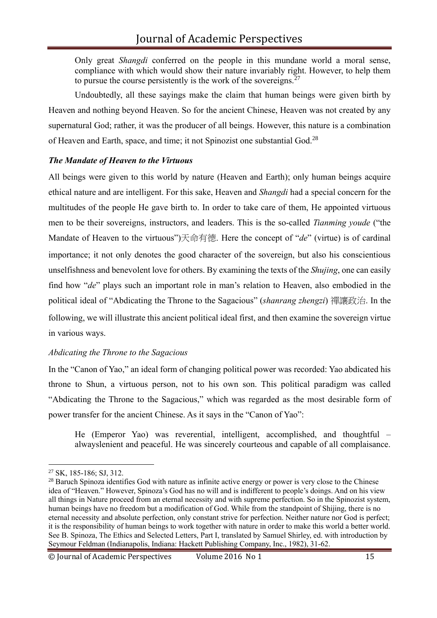Only great *Shangdi* conferred on the people in this mundane world a moral sense, compliance with which would show their nature invariably right. However, to help them to pursue the course persistently is the work of the sovereigns. $27$ 

Undoubtedly, all these sayings make the claim that human beings were given birth by Heaven and nothing beyond Heaven. So for the ancient Chinese, Heaven was not created by any supernatural God; rather, it was the producer of all beings. However, this nature is a combination of Heaven and Earth, space, and time; it not Spinozist one substantial God.<sup>28</sup>

## *The Mandate of Heaven to the Virtuous*

All beings were given to this world by nature (Heaven and Earth); only human beings acquire ethical nature and are intelligent. For this sake, Heaven and *Shangdi* had a special concern for the multitudes of the people He gave birth to. In order to take care of them, He appointed virtuous men to be their sovereigns, instructors, and leaders. This is the so-called *Tianming youde* ("the Mandate of Heaven to the virtuous")天命有德. Here the concept of "*de*" (virtue) is of cardinal importance; it not only denotes the good character of the sovereign, but also his conscientious unselfishness and benevolent love for others. By examining the texts of the *Shujing*, one can easily find how "*de*" plays such an important role in man's relation to Heaven, also embodied in the political ideal of "Abdicating the Throne to the Sagacious" (*shanrang zhengzi*) 禪讓政治. In the following, we will illustrate this ancient political ideal first, and then examine the sovereign virtue in various ways.

## *Abdicating the Throne to the Sagacious*

In the "Canon of Yao," an ideal form of changing political power was recorded: Yao abdicated his throne to Shun, a virtuous person, not to his own son. This political paradigm was called "Abdicating the Throne to the Sagacious," which was regarded as the most desirable form of power transfer for the ancient Chinese. As it says in the "Canon of Yao":

He (Emperor Yao) was reverential, intelligent, accomplished, and thoughtful – alwayslenient and peaceful. He was sincerely courteous and capable of all complaisance.

<sup>27</sup> SK, 185-186; SJ, 312.

<sup>&</sup>lt;sup>28</sup> Baruch Spinoza identifies God with nature as infinite active energy or power is very close to the Chinese idea of "Heaven." However, Spinoza's God has no will and is indifferent to people's doings. And on his view all things in Nature proceed from an eternal necessity and with supreme perfection. So in the Spinozist system, human beings have no freedom but a modification of God. While from the standpoint of Shijing, there is no eternal necessity and absolute perfection, only constant strive for perfection. Neither nature nor God is perfect; it is the responsibility of human beings to work together with nature in order to make this world a better world. See B. Spinoza, The Ethics and Selected Letters, Part I, translated by Samuel Shirley, ed. with introduction by Seymour Feldman (Indianapolis, Indiana: Hackett Publishing Company, Inc., 1982), 31-62.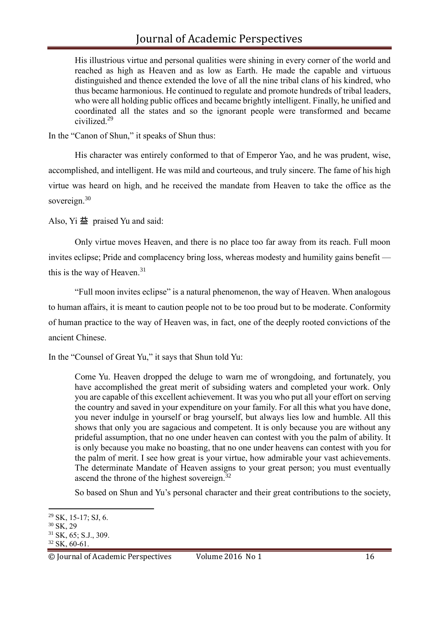His illustrious virtue and personal qualities were shining in every corner of the world and reached as high as Heaven and as low as Earth. He made the capable and virtuous distinguished and thence extended the love of all the nine tribal clans of his kindred, who thus became harmonious. He continued to regulate and promote hundreds of tribal leaders, who were all holding public offices and became brightly intelligent. Finally, he unified and coordinated all the states and so the ignorant people were transformed and became civilized.<sup>29</sup>

In the "Canon of Shun," it speaks of Shun thus:

His character was entirely conformed to that of Emperor Yao, and he was prudent, wise, accomplished, and intelligent. He was mild and courteous, and truly sincere. The fame of his high virtue was heard on high, and he received the mandate from Heaven to take the office as the sovereign.<sup>30</sup>

Also, Yi 益 praised Yu and said:

Only virtue moves Heaven, and there is no place too far away from its reach. Full moon invites eclipse; Pride and complacency bring loss, whereas modesty and humility gains benefit this is the way of Heaven. $31$ 

"Full moon invites eclipse" is a natural phenomenon, the way of Heaven. When analogous to human affairs, it is meant to caution people not to be too proud but to be moderate. Conformity of human practice to the way of Heaven was, in fact, one of the deeply rooted convictions of the ancient Chinese.

In the "Counsel of Great Yu," it says that Shun told Yu:

Come Yu. Heaven dropped the deluge to warn me of wrongdoing, and fortunately, you have accomplished the great merit of subsiding waters and completed your work. Only you are capable of this excellent achievement. It was you who put all your effort on serving the country and saved in your expenditure on your family. For all this what you have done, you never indulge in yourself or brag yourself, but always lies low and humble. All this shows that only you are sagacious and competent. It is only because you are without any prideful assumption, that no one under heaven can contest with you the palm of ability. It is only because you make no boasting, that no one under heavens can contest with you for the palm of merit. I see how great is your virtue, how admirable your vast achievements. The determinate Mandate of Heaven assigns to your great person; you must eventually ascend the throne of the highest sovereign.<sup>32</sup>

So based on Shun and Yu's personal character and their great contributions to the society,

 $29$  SK, 15-17; SJ, 6.

<sup>30</sup> SK, 29

<sup>31</sup> SK, 65; S.J., 309.

 $32$  SK, 60-61.

<sup>©</sup> Journal of Academic Perspectives Volume 2016 No 1 16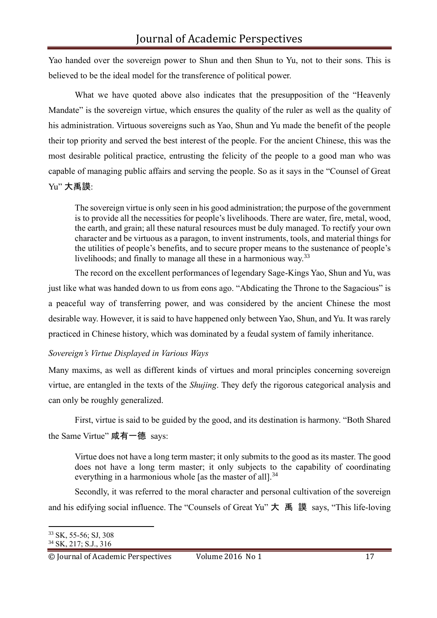Yao handed over the sovereign power to Shun and then Shun to Yu, not to their sons. This is believed to be the ideal model for the transference of political power.

What we have quoted above also indicates that the presupposition of the "Heavenly Mandate" is the sovereign virtue, which ensures the quality of the ruler as well as the quality of his administration. Virtuous sovereigns such as Yao, Shun and Yu made the benefit of the people their top priority and served the best interest of the people. For the ancient Chinese, this was the most desirable political practice, entrusting the felicity of the people to a good man who was capable of managing public affairs and serving the people. So as it says in the "Counsel of Great Yu" 大禹謨:

The sovereign virtue is only seen in his good administration; the purpose of the government is to provide all the necessities for people's livelihoods. There are water, fire, metal, wood, the earth, and grain; all these natural resources must be duly managed. To rectify your own character and be virtuous as a paragon, to invent instruments, tools, and material things for the utilities of people's benefits, and to secure proper means to the sustenance of people's livelihoods; and finally to manage all these in a harmonious way.<sup>33</sup>

The record on the excellent performances of legendary Sage-Kings Yao, Shun and Yu, was just like what was handed down to us from eons ago. "Abdicating the Throne to the Sagacious" is a peaceful way of transferring power, and was considered by the ancient Chinese the most desirable way. However, it is said to have happened only between Yao, Shun, and Yu. It was rarely practiced in Chinese history, which was dominated by a feudal system of family inheritance.

## *Sovereign's Virtue Displayed in Various Ways*

Many maxims, as well as different kinds of virtues and moral principles concerning sovereign virtue, are entangled in the texts of the *Shujing*. They defy the rigorous categorical analysis and can only be roughly generalized.

First, virtue is said to be guided by the good, and its destination is harmony. "Both Shared the Same Virtue" 咸有一德 says:

Virtue does not have a long term master; it only submits to the good as its master. The good does not have a long term master; it only subjects to the capability of coordinating everything in a harmonious whole [as the master of all].<sup>34</sup>

Secondly, it was referred to the moral character and personal cultivation of the sovereign and his edifying social influence. The "Counsels of Great Yu" 大 禹 謨 says, "This life-loving

<sup>33</sup> SK, 55-56; SJ, 308

<sup>34</sup> SK, 217; S.J., 316

<sup>©</sup> Journal of Academic Perspectives Volume 2016 No 1 17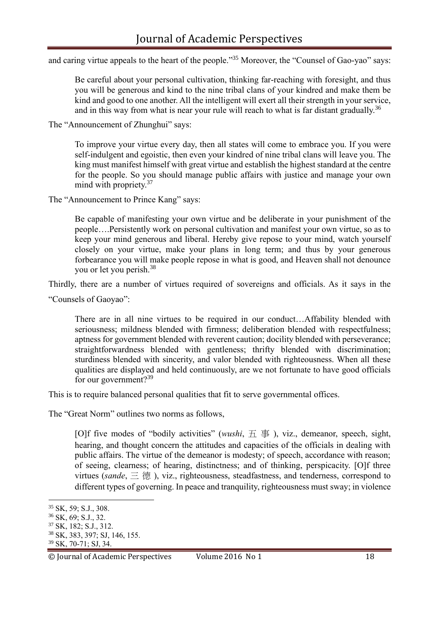and caring virtue appeals to the heart of the people."<sup>35</sup> Moreover, the "Counsel of Gao-yao" says:

Be careful about your personal cultivation, thinking far-reaching with foresight, and thus you will be generous and kind to the nine tribal clans of your kindred and make them be kind and good to one another. All the intelligent will exert all their strength in your service, and in this way from what is near your rule will reach to what is far distant gradually.<sup>36</sup>

The "Announcement of Zhunghui" says:

To improve your virtue every day, then all states will come to embrace you. If you were self-indulgent and egoistic, then even your kindred of nine tribal clans will leave you. The king must manifest himself with great virtue and establish the highest standard at the centre for the people. So you should manage public affairs with justice and manage your own mind with propriety.<sup>37</sup>

The "Announcement to Prince Kang" says:

Be capable of manifesting your own virtue and be deliberate in your punishment of the people….Persistently work on personal cultivation and manifest your own virtue, so as to keep your mind generous and liberal. Hereby give repose to your mind, watch yourself closely on your virtue, make your plans in long term; and thus by your generous forbearance you will make people repose in what is good, and Heaven shall not denounce you or let you perish.<sup>38</sup>

Thirdly, there are a number of virtues required of sovereigns and officials. As it says in the

"Counsels of Gaoyao":

There are in all nine virtues to be required in our conduct…Affability blended with seriousness; mildness blended with firmness; deliberation blended with respectfulness; aptness for government blended with reverent caution; docility blended with perseverance; straightforwardness blended with gentleness; thrifty blended with discrimination; sturdiness blended with sincerity, and valor blended with righteousness. When all these qualities are displayed and held continuously, are we not fortunate to have good officials for our government? $39$ 

This is to require balanced personal qualities that fit to serve governmental offices.

The "Great Norm" outlines two norms as follows,

[O]f five modes of "bodily activities" (*wushi*, 五 事 ), viz., demeanor, speech, sight, hearing, and thought concern the attitudes and capacities of the officials in dealing with public affairs. The virtue of the demeanor is modesty; of speech, accordance with reason; of seeing, clearness; of hearing, distinctness; and of thinking, perspicacity. [O]f three virtues (*sande*, 三 德 ), viz., righteousness, steadfastness, and tenderness, correspond to different types of governing. In peace and tranquility, righteousness must sway; in violence

<sup>35</sup> SK, 59; S.J., 308.

<sup>36</sup> SK, 69; S.J., 32.

<sup>37</sup> SK, 182; S.J., 312.

<sup>38</sup> SK, 383, 397; SJ, 146, 155.

<sup>39</sup> SK, 70-71; SJ, 34.

<sup>©</sup> Journal of Academic Perspectives Volume 2016 No 1 18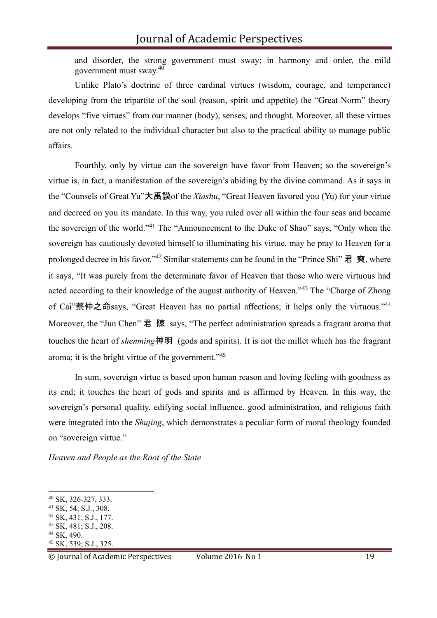and disorder, the strong government must sway; in harmony and order, the mild government must sway. $40$ 

Unlike Plato's doctrine of three cardinal virtues (wisdom, courage, and temperance) developing from the tripartite of the soul (reason, spirit and appetite) the "Great Norm" theory develops "five virtues" from our manner (body), senses, and thought. Moreover, all these virtues are not only related to the individual character but also to the practical ability to manage public affairs.

Fourthly, only by virtue can the sovereign have favor from Heaven; so the sovereign's virtue is, in fact, a manifestation of the sovereign's abiding by the divine command. As it says in the "Counsels of Great Yu"大禹謨of the *Xiashu*, "Great Heaven favored you (Yu) for your virtue and decreed on you its mandate. In this way, you ruled over all within the four seas and became the sovereign of the world."<sup>41</sup> The "Announcement to the Duke of Shao" says, "Only when the sovereign has cautiously devoted himself to illuminating his virtue, may he pray to Heaven for a prolonged decree in his favor."<sup>42</sup> Similar statements can be found in the "Prince Shi" 君 奭, where it says, "It was purely from the determinate favor of Heaven that those who were virtuous had acted according to their knowledge of the august authority of Heaven."<sup>43</sup> The "Charge of Zhong of Cai"蔡仲之命says, "Great Heaven has no partial affections; it helps only the virtuous."<sup>44</sup> Moreover, the "Jun Chen" 君 陳 says, "The perfect administration spreads a fragrant aroma that touches the heart of *shenming*神明 (gods and spirits). It is not the millet which has the fragrant aroma; it is the bright virtue of the government."<sup>45</sup>

In sum, sovereign virtue is based upon human reason and loving feeling with goodness as its end; it touches the heart of gods and spirits and is affirmed by Heaven. In this way, the sovereign's personal quality, edifying social influence, good administration, and religious faith were integrated into the *Shujing*, which demonstrates a peculiar form of moral theology founded on "sovereign virtue."

*Heaven and People as the Root of the State*

© Journal of Academic Perspectives Volume 2016 No 1 19

<sup>40</sup> SK, 326-327, 333.

<sup>41</sup> SK, 54; S.J., 308.

<sup>42</sup> SK, 431; S.J., 177.

<sup>43</sup> SK, 481; S.J., 208.

<sup>44</sup> SK, 490.

<sup>45</sup> SK, 539; S.J., 325.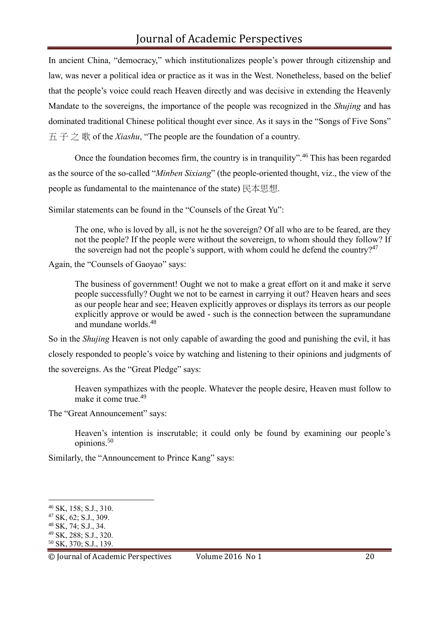In ancient China, "democracy," which institutionalizes people's power through citizenship and law, was never a political idea or practice as it was in the West. Nonetheless, based on the belief that the people's voice could reach Heaven directly and was decisive in extending the Heavenly Mandate to the sovereigns, the importance of the people was recognized in the *Shujing* and has dominated traditional Chinese political thought ever since. As it says in the "Songs of Five Sons" 五 子 之 歌 of the *Xiashu*, "The people are the foundation of a country.

Once the foundation becomes firm, the country is in tranquility".<sup>46</sup> This has been regarded as the source of the so-called "*Minben Sixiang*" (the people-oriented thought, viz., the view of the people as fundamental to the maintenance of the state) 民本思想.

Similar statements can be found in the "Counsels of the Great Yu":

The one, who is loved by all, is not he the sovereign? Of all who are to be feared, are they not the people? If the people were without the sovereign, to whom should they follow? If the sovereign had not the people's support, with whom could he defend the country?<sup>47</sup>

Again, the "Counsels of Gaoyao" says:

The business of government! Ought we not to make a great effort on it and make it serve people successfully? Ought we not to be earnest in carrying it out? Heaven hears and sees as our people hear and see; Heaven explicitly approves or displays its terrors as our people explicitly approve or would be awed - such is the connection between the supramundane and mundane worlds.<sup>48</sup>

So in the *Shujing* Heaven is not only capable of awarding the good and punishing the evil, it has closely responded to people's voice by watching and listening to their opinions and judgments of the sovereigns. As the "Great Pledge" says:

Heaven sympathizes with the people. Whatever the people desire, Heaven must follow to make it come true.<sup>49</sup>

The "Great Announcement" says:

Heaven's intention is inscrutable; it could only be found by examining our people's opinions.<sup>50</sup>

Similarly, the "Announcement to Prince Kang" says:

© Journal of Academic Perspectives Volume 2016 No 1 20

<sup>46</sup> SK, 158; S.J., 310.

<sup>47</sup> SK, 62; S.J., 309.

<sup>48</sup> SK, 74; S.J., 34.

<sup>49</sup> SK, 288; S.J., 320.

<sup>50</sup> SK, 370; S.J., 139.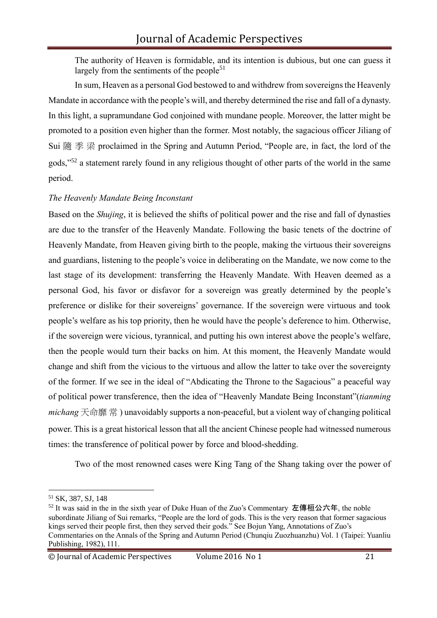The authority of Heaven is formidable, and its intention is dubious, but one can guess it largely from the sentiments of the people<sup>51</sup>

In sum, Heaven as a personal God bestowed to and withdrew from sovereigns the Heavenly Mandate in accordance with the people's will, and thereby determined the rise and fall of a dynasty. In this light, a supramundane God conjoined with mundane people. Moreover, the latter might be promoted to a position even higher than the former. Most notably, the sagacious officer Jiliang of Sui 隨 季 梁 proclaimed in the Spring and Autumn Period, "People are, in fact, the lord of the gods,"<sup>52</sup> a statement rarely found in any religious thought of other parts of the world in the same period.

# *The Heavenly Mandate Being Inconstant*

Based on the *Shujing*, it is believed the shifts of political power and the rise and fall of dynasties are due to the transfer of the Heavenly Mandate. Following the basic tenets of the doctrine of Heavenly Mandate, from Heaven giving birth to the people, making the virtuous their sovereigns and guardians, listening to the people's voice in deliberating on the Mandate, we now come to the last stage of its development: transferring the Heavenly Mandate. With Heaven deemed as a personal God, his favor or disfavor for a sovereign was greatly determined by the people's preference or dislike for their sovereigns' governance. If the sovereign were virtuous and took people's welfare as his top priority, then he would have the people's deference to him. Otherwise, if the sovereign were vicious, tyrannical, and putting his own interest above the people's welfare, then the people would turn their backs on him. At this moment, the Heavenly Mandate would change and shift from the vicious to the virtuous and allow the latter to take over the sovereignty of the former. If we see in the ideal of "Abdicating the Throne to the Sagacious" a peaceful way of political power transference, then the idea of "Heavenly Mandate Being Inconstant"(*tianming michang* 天命靡 常 ) unavoidably supports a non-peaceful, but a violent way of changing political power. This is a great historical lesson that all the ancient Chinese people had witnessed numerous times: the transference of political power by force and blood-shedding.

Two of the most renowned cases were King Tang of the Shang taking over the power of

© Journal of Academic Perspectives Volume 2016 No 1 21

<sup>51</sup> SK, 387, SJ, 148

 $52$  It was said in the in the sixth year of Duke Huan of the Zuo's Commentary 左傳桓公六年, the noble subordinate Jiliang of Sui remarks, "People are the lord of gods. This is the very reason that former sagacious kings served their people first, then they served their gods." See Bojun Yang, Annotations of Zuo's Commentaries on the Annals of the Spring and Autumn Period (Chunqiu Zuozhuanzhu) Vol. 1 (Taipei: Yuanliu Publishing, 1982), 111.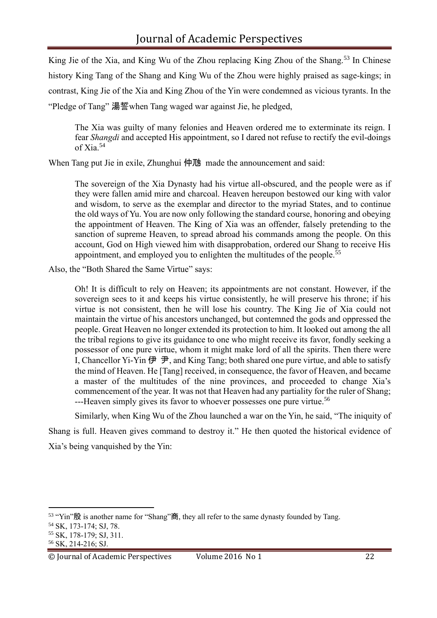King Jie of the Xia, and King Wu of the Zhou replacing King Zhou of the Shang.<sup>53</sup> In Chinese history King Tang of the Shang and King Wu of the Zhou were highly praised as sage-kings; in contrast, King Jie of the Xia and King Zhou of the Yin were condemned as vicious tyrants. In the "Pledge of Tang" 湯誓when Tang waged war against Jie, he pledged,

The Xia was guilty of many felonies and Heaven ordered me to exterminate its reign. I fear *Shangdi* and accepted His appointment, so I dared not refuse to rectify the evil-doings of Xia.<sup>54</sup>

When Tang put Jie in exile, Zhunghui 仲虺 made the announcement and said:

The sovereign of the Xia Dynasty had his virtue all-obscured, and the people were as if they were fallen amid mire and charcoal. Heaven hereupon bestowed our king with valor and wisdom, to serve as the exemplar and director to the myriad States, and to continue the old ways of Yu. You are now only following the standard course, honoring and obeying the appointment of Heaven. The King of Xia was an offender, falsely pretending to the sanction of supreme Heaven, to spread abroad his commands among the people. On this account, God on High viewed him with disapprobation, ordered our Shang to receive His appointment, and employed you to enlighten the multitudes of the people.<sup>55</sup>

Also, the "Both Shared the Same Virtue" says:

Oh! It is difficult to rely on Heaven; its appointments are not constant. However, if the sovereign sees to it and keeps his virtue consistently, he will preserve his throne; if his virtue is not consistent, then he will lose his country. The King Jie of Xia could not maintain the virtue of his ancestors unchanged, but contemned the gods and oppressed the people. Great Heaven no longer extended its protection to him. It looked out among the all the tribal regions to give its guidance to one who might receive its favor, fondly seeking a possessor of one pure virtue, whom it might make lord of all the spirits. Then there were I, Chancellor Yi-Yin  $\bigoplus$   $\bigoplus$ , and King Tang; both shared one pure virtue, and able to satisfy the mind of Heaven. He [Tang] received, in consequence, the favor of Heaven, and became a master of the multitudes of the nine provinces, and proceeded to change Xia's commencement of the year. It was not that Heaven had any partiality for the ruler of Shang; ---Heaven simply gives its favor to whoever possesses one pure virtue.<sup>56</sup>

Similarly, when King Wu of the Zhou launched a war on the Yin, he said, "The iniquity of Shang is full. Heaven gives command to destroy it." He then quoted the historical evidence of Xia's being vanquished by the Yin:

<sup>53</sup> "Yin"殷 is another name for "Shang"商, they all refer to the same dynasty founded by Tang.

<sup>54</sup> SK, 173-174; SJ, 78.

<sup>55</sup> SK, 178-179; SJ, 311.

<sup>56</sup> SK, 214-216; SJ.

<sup>©</sup> Journal of Academic Perspectives Volume 2016 No 1 22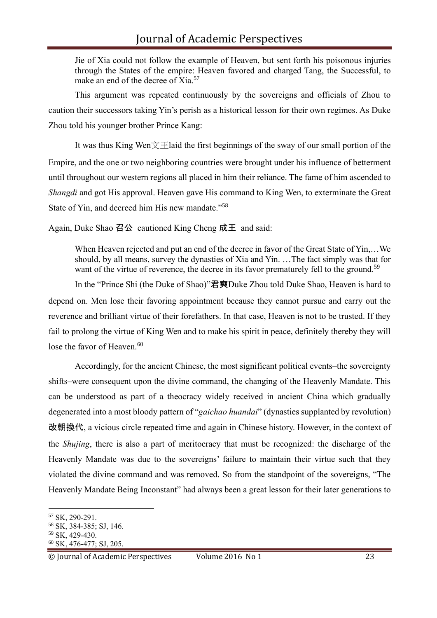# Journal of Academic Perspectives

Jie of Xia could not follow the example of Heaven, but sent forth his poisonous injuries through the States of the empire: Heaven favored and charged Tang, the Successful, to make an end of the decree of Xia.<sup>57</sup>

This argument was repeated continuously by the sovereigns and officials of Zhou to caution their successors taking Yin's perish as a historical lesson for their own regimes. As Duke Zhou told his younger brother Prince Kang:

It was thus King Wen $\chi$   $\pm$ laid the first beginnings of the sway of our small portion of the Empire, and the one or two neighboring countries were brought under his influence of betterment until throughout our western regions all placed in him their reliance. The fame of him ascended to *Shangdi* and got His approval. Heaven gave His command to King Wen, to exterminate the Great State of Yin, and decreed him His new mandate."<sup>58</sup>

Again, Duke Shao 召公 cautioned King Cheng 成王 and said:

When Heaven rejected and put an end of the decree in favor of the Great State of Yin,…We should, by all means, survey the dynasties of Xia and Yin. …The fact simply was that for want of the virtue of reverence, the decree in its favor prematurely fell to the ground.<sup>59</sup>

In the "Prince Shi (the Duke of Shao)"君奭Duke Zhou told Duke Shao, Heaven is hard to depend on. Men lose their favoring appointment because they cannot pursue and carry out the reverence and brilliant virtue of their forefathers. In that case, Heaven is not to be trusted. If they fail to prolong the virtue of King Wen and to make his spirit in peace, definitely thereby they will lose the favor of Heaven.<sup>60</sup>

Accordingly, for the ancient Chinese, the most significant political events–the sovereignty shifts–were consequent upon the divine command, the changing of the Heavenly Mandate. This can be understood as part of a theocracy widely received in ancient China which gradually degenerated into a most bloody pattern of "*gaichao huandai*" (dynasties supplanted by revolution) 改朝換代, a vicious circle repeated time and again in Chinese history. However, in the context of the *Shujing*, there is also a part of meritocracy that must be recognized: the discharge of the Heavenly Mandate was due to the sovereigns' failure to maintain their virtue such that they violated the divine command and was removed. So from the standpoint of the sovereigns, "The Heavenly Mandate Being Inconstant" had always been a great lesson for their later generations to

<sup>57</sup> SK, 290-291.

<sup>58</sup> SK, 384-385; SJ, 146.

<sup>59</sup> SK, 429-430.

<sup>60</sup> SK, 476-477; SJ, 205.

<sup>©</sup> Journal of Academic Perspectives Volume 2016 No 1 23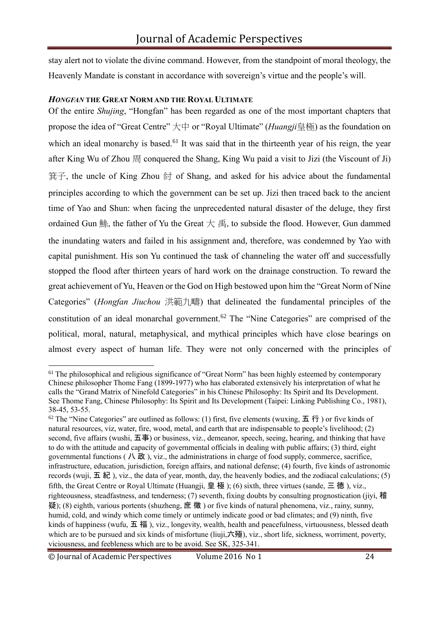stay alert not to violate the divine command. However, from the standpoint of moral theology, the Heavenly Mandate is constant in accordance with sovereign's virtue and the people's will.

#### *HONGFAN* **THE GREAT NORM AND THE ROYAL ULTIMATE**

Of the entire *Shujing*, "Hongfan" has been regarded as one of the most important chapters that propose the idea of "Great Centre" 大中 or "Royal Ultimate" (*Huangji*皇極) as the foundation on which an ideal monarchy is based.<sup>61</sup> It was said that in the thirteenth year of his reign, the year after King Wu of Zhou 周 conquered the Shang, King Wu paid a visit to Jizi (the Viscount of Ji) 箕子, the uncle of King Zhou 紂 of Shang, and asked for his advice about the fundamental principles according to which the government can be set up. Jizi then traced back to the ancient time of Yao and Shun: when facing the unprecedented natural disaster of the deluge, they first ordained Gun 鮽, the father of Yu the Great  $#$  禹, to subside the flood. However, Gun dammed the inundating waters and failed in his assignment and, therefore, was condemned by Yao with capital punishment. His son Yu continued the task of channeling the water off and successfully stopped the flood after thirteen years of hard work on the drainage construction. To reward the great achievement of Yu, Heaven or the God on High bestowed upon him the "Great Norm of Nine Categories" (*Hongfan Jiuchou* 洪範九疇) that delineated the fundamental principles of the constitution of an ideal monarchal government.<sup>62</sup> The "Nine Categories" are comprised of the political, moral, natural, metaphysical, and mythical principles which have close bearings on almost every aspect of human life. They were not only concerned with the principles of

<sup>&</sup>lt;sup>61</sup> The philosophical and religious significance of "Great Norm" has been highly esteemed by contemporary Chinese philosopher Thome Fang (1899-1977) who has elaborated extensively his interpretation of what he calls the "Grand Matrix of Ninefold Categories" in his Chinese Philosophy: Its Spirit and Its Development. See Thome Fang, Chinese Philosophy: Its Spirit and Its Development (Taipei: Linking Publishing Co., 1981), 38-45, 53-55.

 $62$  The "Nine Categories" are outlined as follows: (1) first, five elements (wuxing, 五 行) or five kinds of natural resources, viz, water, fire, wood, metal, and earth that are indispensable to people's livelihood; (2) second, five affairs (wushi, 五事) or business, viz., demeanor, speech, seeing, hearing, and thinking that have to do with the attitude and capacity of governmental officials in dealing with public affairs; (3) third, eight governmental functions ( $\Lambda \times \mathcal{L}$ ), viz., the administrations in charge of food supply, commerce, sacrifice, infrastructure, education, jurisdiction, foreign affairs, and national defense; (4) fourth, five kinds of astronomic records (wuji, 五紀), viz., the data of year, month, day, the heavenly bodies, and the zodiacal calculations; (5) fifth, the Great Centre or Royal Ultimate (Huangji, 皇 極 ); (6) sixth, three virtues (sande, 三 德 ), viz., righteousness, steadfastness, and tenderness; (7) seventh, fixing doubts by consulting prognostication (jiyi, 稽 疑); (8) eighth, various portents (shuzheng, 庶 徵 ) or five kinds of natural phenomena, viz., rainy, sunny, humid, cold, and windy which come timely or untimely indicate good or bad climates; and (9) ninth, five kinds of happiness (wufu, 五 福 ), viz., longevity, wealth, health and peacefulness, virtuousness, blessed death which are to be pursued and six kinds of misfortune (liuji,六殛), viz., short life, sickness, worriment, poverty, viciousness, and feebleness which are to be avoid. See SK, 325-341.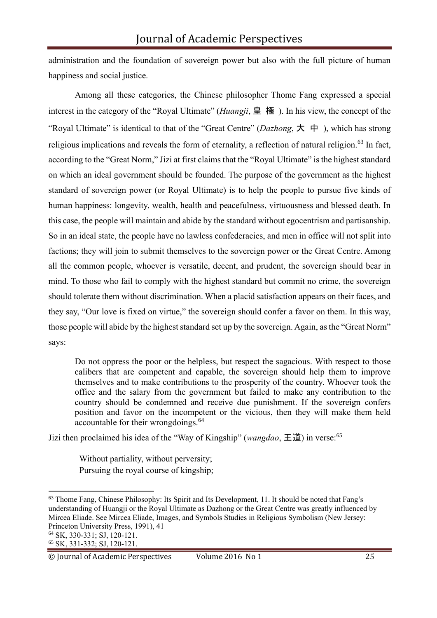administration and the foundation of sovereign power but also with the full picture of human happiness and social justice.

Among all these categories, the Chinese philosopher Thome Fang expressed a special interest in the category of the "Royal Ultimate" (*Huangji*, 皇 極 ). In his view, the concept of the "Royal Ultimate" is identical to that of the "Great Centre" (*Dazhong*, 大 中 ), which has strong religious implications and reveals the form of eternality, a reflection of natural religion.<sup>63</sup> In fact, according to the "Great Norm," Jizi at first claims that the "Royal Ultimate" is the highest standard on which an ideal government should be founded. The purpose of the government as the highest standard of sovereign power (or Royal Ultimate) is to help the people to pursue five kinds of human happiness: longevity, wealth, health and peacefulness, virtuousness and blessed death. In this case, the people will maintain and abide by the standard without egocentrism and partisanship. So in an ideal state, the people have no lawless confederacies, and men in office will not split into factions; they will join to submit themselves to the sovereign power or the Great Centre. Among all the common people, whoever is versatile, decent, and prudent, the sovereign should bear in mind. To those who fail to comply with the highest standard but commit no crime, the sovereign should tolerate them without discrimination. When a placid satisfaction appears on their faces, and they say, "Our love is fixed on virtue," the sovereign should confer a favor on them. In this way, those people will abide by the highest standard set up by the sovereign. Again, as the "Great Norm" says:

Do not oppress the poor or the helpless, but respect the sagacious. With respect to those calibers that are competent and capable, the sovereign should help them to improve themselves and to make contributions to the prosperity of the country. Whoever took the office and the salary from the government but failed to make any contribution to the country should be condemned and receive due punishment. If the sovereign confers position and favor on the incompetent or the vicious, then they will make them held accountable for their wrongdoings.<sup>64</sup>

Jizi then proclaimed his idea of the "Way of Kingship" (*wangdao*, 王道) in verse:<sup>65</sup>

Without partiality, without perversity; Pursuing the royal course of kingship;

<sup>64</sup> SK, 330-331; SJ, 120-121.

<sup>63</sup> Thome Fang, Chinese Philosophy: Its Spirit and Its Development, 11. It should be noted that Fang's understanding of Huangji or the Royal Ultimate as Dazhong or the Great Centre was greatly influenced by Mircea Eliade. See Mircea Eliade, Images, and Symbols Studies in Religious Symbolism (New Jersey: Princeton University Press, 1991), 41

<sup>65</sup> SK, 331-332; SJ, 120-121.

<sup>©</sup> Journal of Academic Perspectives Volume 2016 No 1 25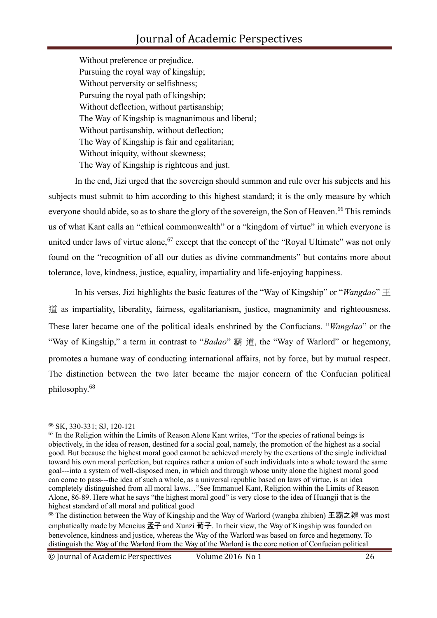# Journal of Academic Perspectives

Without preference or prejudice, Pursuing the royal way of kingship; Without perversity or selfishness; Pursuing the royal path of kingship; Without deflection, without partisanship; The Way of Kingship is magnanimous and liberal; Without partisanship, without deflection; The Way of Kingship is fair and egalitarian; Without iniquity, without skewness; The Way of Kingship is righteous and just.

In the end, Jizi urged that the sovereign should summon and rule over his subjects and his subjects must submit to him according to this highest standard; it is the only measure by which everyone should abide, so as to share the glory of the sovereign, the Son of Heaven.<sup>66</sup> This reminds us of what Kant calls an "ethical commonwealth" or a "kingdom of virtue" in which everyone is united under laws of virtue alone,  $67$  except that the concept of the "Royal Ultimate" was not only found on the "recognition of all our duties as divine commandments" but contains more about tolerance, love, kindness, justice, equality, impartiality and life-enjoying happiness.

In his verses, Jizi highlights the basic features of the "Way of Kingship" or "*Wangdao*" 王 道 as impartiality, liberality, fairness, egalitarianism, justice, magnanimity and righteousness. These later became one of the political ideals enshrined by the Confucians. "*Wangdao*" or the "Way of Kingship," a term in contrast to "*Badao*" 霸 道, the "Way of Warlord" or hegemony, promotes a humane way of conducting international affairs, not by force, but by mutual respect. The distinction between the two later became the major concern of the Confucian political philosophy. 68

<sup>66</sup> SK, 330-331; SJ, 120-121

<sup>&</sup>lt;sup>67</sup> In the Religion within the Limits of Reason Alone Kant writes, "For the species of rational beings is objectively, in the idea of reason, destined for a social goal, namely, the promotion of the highest as a social good. But because the highest moral good cannot be achieved merely by the exertions of the single individual toward his own moral perfection, but requires rather a union of such individuals into a whole toward the same goal---into a system of well-disposed men, in which and through whose unity alone the highest moral good can come to pass---the idea of such a whole, as a universal republic based on laws of virtue, is an idea completely distinguished from all moral laws…"See Immanuel Kant, Religion within the Limits of Reason Alone, 86-89. Here what he says "the highest moral good" is very close to the idea of Huangji that is the highest standard of all moral and political good

 $68$  The distinction between the Way of Kingship and the Way of Warlord (wangba zhibien) 王霸之辨 was most emphatically made by Mencius 孟子 and Xunzi 荀子. In their view, the Way of Kingship was founded on benevolence, kindness and justice, whereas the Way of the Warlord was based on force and hegemony. To distinguish the Way of the Warlord from the Way of the Warlord is the core notion of Confucian political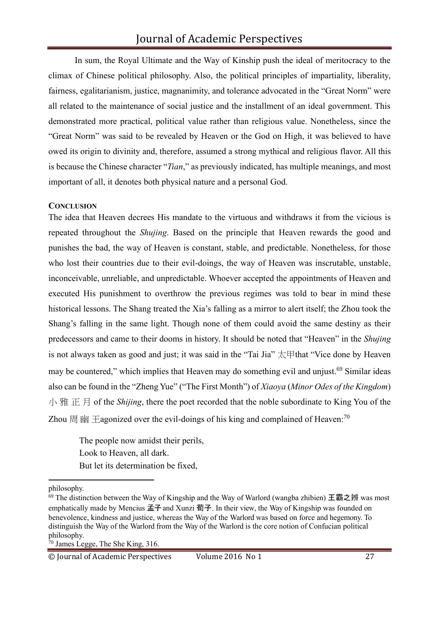In sum, the Royal Ultimate and the Way of Kinship push the ideal of meritocracy to the climax of Chinese political philosophy. Also, the political principles of impartiality, liberality, fairness, egalitarianism, justice, magnanimity, and tolerance advocated in the "Great Norm" were all related to the maintenance of social justice and the installment of an ideal government. This demonstrated more practical, political value rather than religious value. Nonetheless, since the "Great Norm" was said to be revealed by Heaven or the God on High, it was believed to have owed its origin to divinity and, therefore, assumed a strong mythical and religious flavor. All this is because the Chinese character "*Tian*," as previously indicated, has multiple meanings, and most important of all, it denotes both physical nature and a personal God.

#### **CONCLUSION**

The idea that Heaven decrees His mandate to the virtuous and withdraws it from the vicious is repeated throughout the *Shujing*. Based on the principle that Heaven rewards the good and punishes the bad, the way of Heaven is constant, stable, and predictable. Nonetheless, for those who lost their countries due to their evil-doings, the way of Heaven was inscrutable, unstable, inconceivable, unreliable, and unpredictable. Whoever accepted the appointments of Heaven and executed His punishment to overthrow the previous regimes was told to bear in mind these historical lessons. The Shang treated the Xia's falling as a mirror to alert itself; the Zhou took the Shang's falling in the same light. Though none of them could avoid the same destiny as their predecessors and came to their dooms in history. It should be noted that "Heaven" in the *Shujing*  is not always taken as good and just; it was said in the "Tai Jia"  $\overline{\mathcal{K}}$   $\overline{\mathcal{F}}$  that "Vice done by Heaven may be countered," which implies that Heaven may do something evil and unjust.<sup>69</sup> Similar ideas also can be found in the "Zheng Yue" ("The First Month") of *Xiaoya* (*Minor Odes of the Kingdom*) 小 雅 正 月 of the *Shijing*, there the poet recorded that the noble subordinate to King You of the Zhou  $\boxplus$   $\cong$   $\cong$   $\cong$   $\cong$   $\cong$   $\cong$   $\cong$   $\cong$   $\cong$   $\cong$   $\cong$   $\cong$   $\cong$   $\cong$   $\cong$   $\cong$   $\cong$   $\cong$   $\cong$   $\cong$   $\cong$   $\cong$   $\cong$   $\cong$   $\cong$   $\cong$   $\cong$   $\cong$   $\cong$   $\cong$   $\cong$   $\cong$   $\cong$   $\cong$   $\cong$ 

The people now amidst their perils, Look to Heaven, all dark. But let its determination be fixed,

philosophy.

 $69$  The distinction between the Way of Kingship and the Way of Warlord (wangba zhibien) 王霸之辨 was most emphatically made by Mencius 孟子 and Xunzi 荀子. In their view, the Way of Kingship was founded on benevolence, kindness and justice, whereas the Way of the Warlord was based on force and hegemony. To distinguish the Way of the Warlord from the Way of the Warlord is the core notion of Confucian political philosophy.

<sup>70</sup> James Legge, The She King, 316.

<sup>©</sup> Journal of Academic Perspectives Volume 2016 No 1 27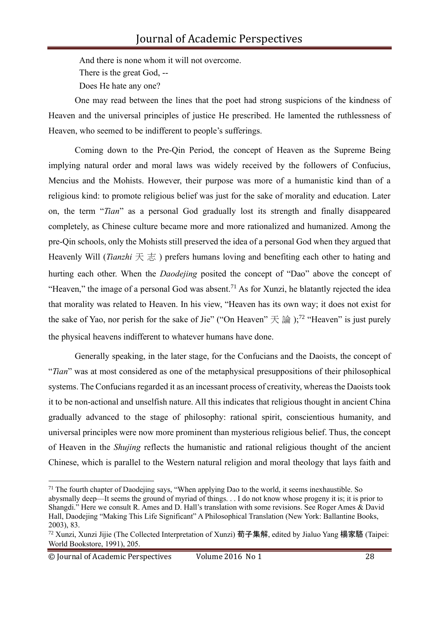And there is none whom it will not overcome. There is the great God, -- Does He hate any one?

One may read between the lines that the poet had strong suspicions of the kindness of Heaven and the universal principles of justice He prescribed. He lamented the ruthlessness of Heaven, who seemed to be indifferent to people's sufferings.

Coming down to the Pre-Qin Period, the concept of Heaven as the Supreme Being implying natural order and moral laws was widely received by the followers of Confucius, Mencius and the Mohists. However, their purpose was more of a humanistic kind than of a religious kind: to promote religious belief was just for the sake of morality and education. Later on, the term "*Tian*" as a personal God gradually lost its strength and finally disappeared completely, as Chinese culture became more and more rationalized and humanized. Among the pre-Qin schools, only the Mohists still preserved the idea of a personal God when they argued that Heavenly Will (*Tianzhi* 天志) prefers humans loving and benefiting each other to hating and hurting each other. When the *Daodejing* posited the concept of "Dao" above the concept of "Heaven," the image of a personal God was absent.<sup>71</sup> As for Xunzi, he blatantly rejected the idea that morality was related to Heaven. In his view, "Heaven has its own way; it does not exist for the sake of Yao, nor perish for the sake of Jie" ("On Heaven"  $\pm \hat{m}$  );<sup>72</sup> "Heaven" is just purely the physical heavens indifferent to whatever humans have done.

Generally speaking, in the later stage, for the Confucians and the Daoists, the concept of "*Tian*" was at most considered as one of the metaphysical presuppositions of their philosophical systems. The Confucians regarded it as an incessant process of creativity, whereas the Daoists took it to be non-actional and unselfish nature. All this indicates that religious thought in ancient China gradually advanced to the stage of philosophy: rational spirit, conscientious humanity, and universal principles were now more prominent than mysterious religious belief. Thus, the concept of Heaven in the *Shujing* reflects the humanistic and rational religious thought of the ancient Chinese, which is parallel to the Western natural religion and moral theology that lays faith and

abysmally deep—It seems the ground of myriad of things. . . I do not know whose progeny it is; it is prior to Shangdi." Here we consult R. Ames and D. Hall's translation with some revisions. See Roger Ames & David Hall, Daodejing "Making This Life Significant" A Philosophical Translation (New York: Ballantine Books, 2003), 83.

<sup>&</sup>lt;sup>71</sup> The fourth chapter of Daodejing says, "When applying Dao to the world, it seems inexhaustible. So

<sup>72</sup> Xunzi, Xunzi Jijie (The Collected Interpretation of Xunzi) 荀子集解, edited by Jialuo Yang 楊家駱 (Taipei: World Bookstore, 1991), 205.

<sup>©</sup> Journal of Academic Perspectives Volume 2016 No 1 28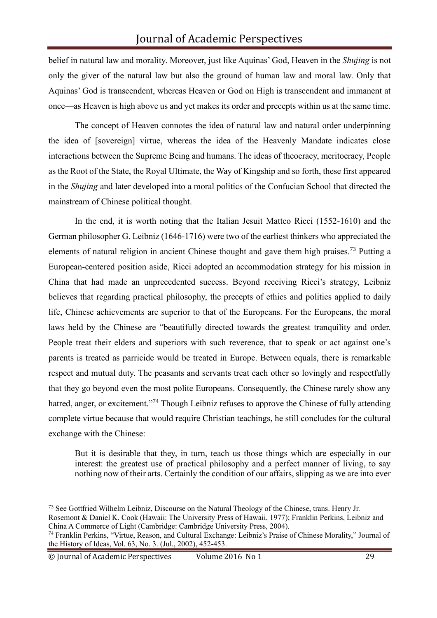belief in natural law and morality. Moreover, just like Aquinas' God, Heaven in the *Shujing* is not only the giver of the natural law but also the ground of human law and moral law. Only that Aquinas' God is transcendent, whereas Heaven or God on High is transcendent and immanent at once—as Heaven is high above us and yet makes its order and precepts within us at the same time.

The concept of Heaven connotes the idea of natural law and natural order underpinning the idea of [sovereign] virtue, whereas the idea of the Heavenly Mandate indicates close interactions between the Supreme Being and humans. The ideas of theocracy, meritocracy, People as the Root of the State, the Royal Ultimate, the Way of Kingship and so forth, these first appeared in the *Shujing* and later developed into a moral politics of the Confucian School that directed the mainstream of Chinese political thought.

In the end, it is worth noting that the Italian Jesuit Matteo Ricci (1552-1610) and the German philosopher G. Leibniz (1646-1716) were two of the earliest thinkers who appreciated the elements of natural religion in ancient Chinese thought and gave them high praises.<sup>73</sup> Putting a European-centered position aside, Ricci adopted an accommodation strategy for his mission in China that had made an unprecedented success. Beyond receiving Ricci's strategy, Leibniz believes that regarding practical philosophy, the precepts of ethics and politics applied to daily life, Chinese achievements are superior to that of the Europeans. For the Europeans, the moral laws held by the Chinese are "beautifully directed towards the greatest tranquility and order. People treat their elders and superiors with such reverence, that to speak or act against one's parents is treated as parricide would be treated in Europe. Between equals, there is remarkable respect and mutual duty. The peasants and servants treat each other so lovingly and respectfully that they go beyond even the most polite Europeans. Consequently, the Chinese rarely show any hatred, anger, or excitement."<sup>74</sup> Though Leibniz refuses to approve the Chinese of fully attending complete virtue because that would require Christian teachings, he still concludes for the cultural exchange with the Chinese:

But it is desirable that they, in turn, teach us those things which are especially in our interest: the greatest use of practical philosophy and a perfect manner of living, to say nothing now of their arts. Certainly the condition of our affairs, slipping as we are into ever

<sup>73</sup> See Gottfried Wilhelm Leibniz, Discourse on the Natural Theology of the Chinese, trans. Henry Jr.

Rosemont & Daniel K. Cook (Hawaii: The University Press of Hawaii, 1977); Franklin Perkins, Leibniz and China A Commerce of Light (Cambridge: Cambridge University Press, 2004).

<sup>74</sup> Franklin Perkins, "Virtue, Reason, and Cultural Exchange: Leibniz's Praise of Chinese Morality," Journal of the History of Ideas, Vol. 63, No. 3. (Jul., 2002), 452-453.

<sup>©</sup> Journal of Academic Perspectives Volume 2016 No 1 29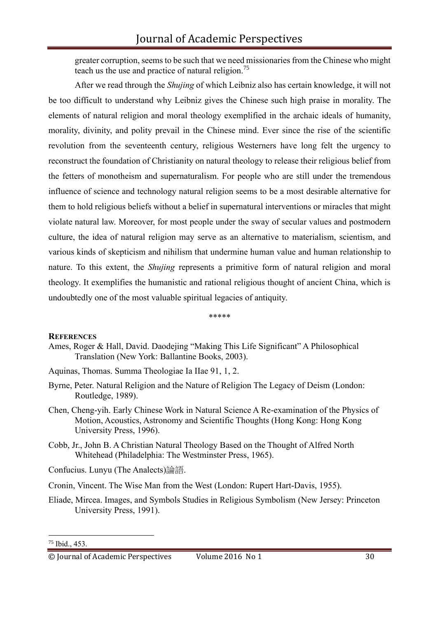greater corruption, seems to be such that we need missionaries from the Chinese who might teach us the use and practice of natural religion.<sup>75</sup>

After we read through the *Shujing* of which Leibniz also has certain knowledge, it will not be too difficult to understand why Leibniz gives the Chinese such high praise in morality. The elements of natural religion and moral theology exemplified in the archaic ideals of humanity, morality, divinity, and polity prevail in the Chinese mind. Ever since the rise of the scientific revolution from the seventeenth century, religious Westerners have long felt the urgency to reconstruct the foundation of Christianity on natural theology to release their religious belief from the fetters of monotheism and supernaturalism. For people who are still under the tremendous influence of science and technology natural religion seems to be a most desirable alternative for them to hold religious beliefs without a belief in supernatural interventions or miracles that might violate natural law. Moreover, for most people under the sway of secular values and postmodern culture, the idea of natural religion may serve as an alternative to materialism, scientism, and various kinds of skepticism and nihilism that undermine human value and human relationship to nature. To this extent, the *Shujing* represents a primitive form of natural religion and moral theology. It exemplifies the humanistic and rational religious thought of ancient China, which is undoubtedly one of the most valuable spiritual legacies of antiquity.

\*\*\*\*\*

#### **REFERENCES**

- Ames, Roger & Hall, David. Daodejing "Making This Life Significant" A Philosophical Translation (New York: Ballantine Books, 2003).
- Aquinas, Thomas. Summa Theologiae Ia IIae 91, 1, 2.
- Byrne, Peter. Natural Religion and the Nature of Religion The Legacy of Deism (London: Routledge, 1989).
- Chen, Cheng-yih. Early Chinese Work in Natural Science A Re-examination of the Physics of Motion, Acoustics, Astronomy and Scientific Thoughts (Hong Kong: Hong Kong University Press, 1996).
- Cobb, Jr., John B. A Christian Natural Theology Based on the Thought of Alfred North Whitehead (Philadelphia: The Westminster Press, 1965).
- Confucius. Lunyu (The Analects)論語.
- Cronin, Vincent. The Wise Man from the West (London: Rupert Hart-Davis, 1955).
- Eliade, Mircea. Images, and Symbols Studies in Religious Symbolism (New Jersey: Princeton University Press, 1991).

<sup>75</sup> Ibid., 453.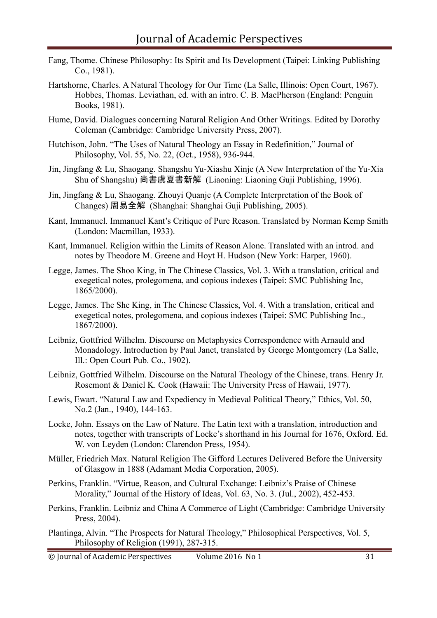- Fang, Thome. Chinese Philosophy: Its Spirit and Its Development (Taipei: Linking Publishing Co., 1981).
- Hartshorne, Charles. A Natural Theology for Our Time (La Salle, Illinois: Open Court, 1967). Hobbes, Thomas. Leviathan, ed. with an intro. C. B. MacPherson (England: Penguin Books, 1981).
- Hume, David. Dialogues concerning Natural Religion And Other Writings. Edited by Dorothy Coleman (Cambridge: Cambridge University Press, 2007).
- Hutchison, John. "The Uses of Natural Theology an Essay in Redefinition," Journal of Philosophy, Vol. 55, No. 22, (Oct., 1958), 936-944.
- Jin, Jingfang & Lu, Shaogang. Shangshu Yu-Xiashu Xinje (A New Interpretation of the Yu-Xia Shu of Shangshu) 尚書虞夏書新解 (Liaoning: Liaoning Guji Publishing, 1996).
- Jin, Jingfang & Lu, Shaogang. Zhouyi Quanje (A Complete Interpretation of the Book of Changes) 周易全解 (Shanghai: Shanghai Guji Publishing, 2005).
- Kant, Immanuel. Immanuel Kant's Critique of Pure Reason. Translated by Norman Kemp Smith (London: Macmillan, 1933).
- Kant, Immanuel. Religion within the Limits of Reason Alone. Translated with an introd. and notes by Theodore M. Greene and Hoyt H. Hudson (New York: Harper, 1960).
- Legge, James. The Shoo King, in The Chinese Classics, Vol. 3. With a translation, critical and exegetical notes, prolegomena, and copious indexes (Taipei: SMC Publishing Inc, 1865/2000).
- Legge, James. The She King, in The Chinese Classics, Vol. 4. With a translation, critical and exegetical notes, prolegomena, and copious indexes (Taipei: SMC Publishing Inc., 1867/2000).
- Leibniz, Gottfried Wilhelm. Discourse on Metaphysics Correspondence with Arnauld and Monadology. Introduction by Paul Janet, translated by George Montgomery (La Salle, Ill.: Open Court Pub. Co., 1902).
- Leibniz, Gottfried Wilhelm. Discourse on the Natural Theology of the Chinese, trans. Henry Jr. Rosemont & Daniel K. Cook (Hawaii: The University Press of Hawaii, 1977).
- Lewis, Ewart. "Natural Law and Expediency in Medieval Political Theory," Ethics, Vol. 50, No.2 (Jan., 1940), 144-163.
- Locke, John. Essays on the Law of Nature. The Latin text with a translation, introduction and notes, together with transcripts of Locke's shorthand in his Journal for 1676, Oxford. Ed. W. von Leyden (London: Clarendon Press, 1954).
- Müller, Friedrich Max. Natural Religion The Gifford Lectures Delivered Before the University of Glasgow in 1888 (Adamant Media Corporation, 2005).
- Perkins, Franklin. "Virtue, Reason, and Cultural Exchange: Leibniz's Praise of Chinese Morality," Journal of the History of Ideas, Vol. 63, No. 3. (Jul., 2002), 452-453.
- Perkins, Franklin. Leibniz and China A Commerce of Light (Cambridge: Cambridge University Press, 2004).
- Plantinga, Alvin. "The Prospects for Natural Theology," Philosophical Perspectives, Vol. 5, Philosophy of Religion (1991), 287-315.
- © Journal of Academic Perspectives Volume 2016 No 1 31